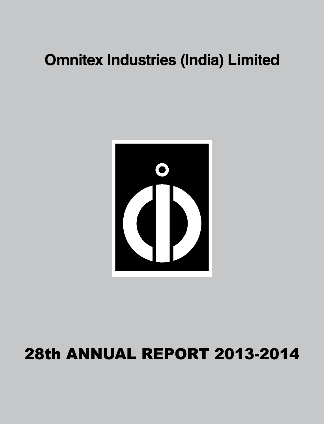

## **28th ANNUAL REPORT 2013-2014**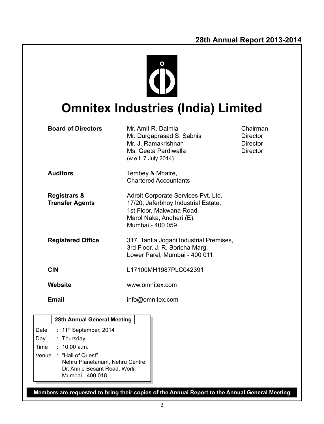

## **Omnitex Industries (India) Limited**

| <b>Board of Directors</b>                                                                                                                                 | Mr. Amit R. Dalmia<br>Mr. Durgaprasad S. Sabnis<br>Mr. J. Ramakrishnan<br>Ms. Geeta Pardiwalla<br>(w.e.f. 7 July 2014)                                  | Chairman<br>Director<br><b>Director</b><br><b>Director</b> |  |
|-----------------------------------------------------------------------------------------------------------------------------------------------------------|---------------------------------------------------------------------------------------------------------------------------------------------------------|------------------------------------------------------------|--|
| <b>Auditors</b>                                                                                                                                           | Tembey & Mhatre,<br><b>Chartered Accountants</b>                                                                                                        |                                                            |  |
| <b>Registrars &amp;</b><br><b>Transfer Agents</b>                                                                                                         | Adroit Corporate Services Pvt. Ltd.<br>17/20, Jaferbhoy Industrial Estate,<br>1st Floor, Makwana Road,<br>Marol Naka, Andheri (E),<br>Mumbai - 400 059. |                                                            |  |
| <b>Registered Office</b>                                                                                                                                  | 317, Tantia Jogani Industrial Premises,<br>3rd Floor, J. R. Boricha Marg,<br>Lower Parel, Mumbai - 400 011.                                             |                                                            |  |
| <b>CIN</b>                                                                                                                                                | L17100MH1987PLC042391                                                                                                                                   |                                                            |  |
| Website                                                                                                                                                   | www.omnitex.com                                                                                                                                         |                                                            |  |
| <b>Email</b>                                                                                                                                              | info@omnitex.com                                                                                                                                        |                                                            |  |
| 28th Annual General Meeting                                                                                                                               |                                                                                                                                                         |                                                            |  |
| : 11 <sup>th</sup> September, 2014<br>Date<br>: Thursday<br>Day<br>Time<br>: $10.00$ a.m.<br>Venue : "Hall of Quest",<br>Nehru Planetarium, Nehru Centre, |                                                                                                                                                         |                                                            |  |

**Members are requested to bring their copies of the Annual Report to the Annual General Meeting**

Dr. Annie Besant Road, Worli,

Mumbai - 400 018.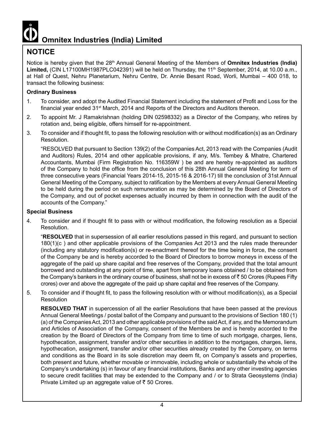

## **NOTICE**

Notice is hereby given that the 28<sup>th</sup> Annual General Meeting of the Members of **Omnitex Industries (India)** Limited, (CIN L17100MH1987PLC042391) will be held on Thursday, the 11<sup>th</sup> September, 2014, at 10.00 a.m., at Hall of Quest, Nehru Planetarium, Nehru Centre, Dr. Annie Besant Road, Worli, Mumbai – 400 018, to transact the following business:

#### **Ordinary Business**

- 1. To consider, and adopt the Audited Financial Statement including the statement of Profit and Loss for the financial year ended 31<sup>st</sup> March, 2014 and Reports of the Directors and Auditors thereon.
- 2. To appoint Mr. J Ramakrishnan (holding DIN 02598332) as a Director of the Company, who retires by rotation and, being eligible, offers himself for re-appointment.
- 3. To consider and if thought fit, to pass the following resolution with or without modification(s) as an Ordinary Resolution.

 "RESOLVED that pursuant to Section 139(2) of the Companies Act, 2013 read with the Companies (Audit and Auditors) Rules, 2014 and other applicable provisions, if any, M/s. Tembey & Mhatre, Chartered Accountants, Mumbai (Firm Registration No. 116359W ) be and are hereby re-appointed as auditors of the Company to hold the office from the conclusion of this 28th Annual General Meeting for term of three consecutive years (Financial Years 2014-15, 2015-16 & 2016-17) till the conclusion of 31st Annual General Meeting of the Company, subject to ratification by the Members at every Annual General Meeting to be held during the period on such remuneration as may be determined by the Board of Directors of the Company, and out of pocket expenses actually incurred by them in connection with the audit of the accounts of the Company."

#### **Special Business**

4. To consider and if thought fit to pass with or without modification, the following resolution as a Special Resolution.

"**RESOLVED** that in supersession of all earlier resolutions passed in this regard, and pursuant to section 180(1)(c ) and other applicable provisions of the Companies Act 2013 and the rules made thereunder (including any statutory modification(s) or re-enactment thereof for the time being in force, the consent of the Company be and is hereby accorded to the Board of Directors to borrow moneys in excess of the aggregate of the paid up share capital and free reserves of the Company, provided that the total amount borrowed and outstanding at any point of time, apart from temporary loans obtained / to be obtained from the Company's bankers in the ordinary course of business, shall not be in excess of ₹50 Crores (Rupees Fifty crores) over and above the aggregate of the paid up share capital and free reserves of the Company.

5. To consider and if thought fit, to pass the following resolution with or without modification(s), as a Special **Resolution** 

**RESOLVED THAT** in supercession of all the earlier Resolutions that have been passed at the previous Annual General Meetings / postal ballot of the Company and pursuant to the provisions of Section 180 (1) (a) of the Companies Act, 2013 and other applicable provisions of the said Act, if any, and the Memorandum and Articles of Association of the Company, consent of the Members be and is hereby accorded to the creation by the Board of Directors of the Company from time to time of such mortgage, charges, liens, hypothecation, assignment, transfer and/or other securities in addition to the mortgages, charges, liens, hypothecation, assignment, transfer and/or other securities already created by the Company, on terms and conditions as the Board in its sole discretion may deem fit, on Company's assets and properties, both present and future, whether movable or immovable, including whole or substantially the whole of the Company's undertaking (s) in favour of any financial institutions, Banks and any other investing agencies to secure credit facilities that may be extended to the Company and / or to Strata Geosystems (India) Private Limited up an aggregate value of  $\bar{\tau}$  50 Crores.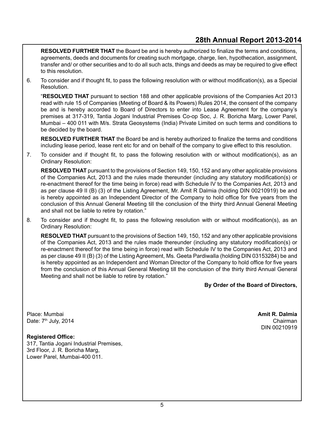**RESOLVED FURTHER THAT** the Board be and is hereby authorized to finalize the terms and conditions, agreements, deeds and documents for creating such mortgage, charge, lien, hypothecation, assignment, transfer and/ or other securities and to do all such acts, things and deeds as may be required to give effect to this resolution.

6. To consider and if thought fit, to pass the following resolution with or without modification(s), as a Special Resolution.

"**RESOLVED THAT** pursuant to section 188 and other applicable provisions of the Companies Act 2013 read with rule 15 of Companies (Meeting of Board & its Powers) Rules 2014, the consent of the company be and is hereby accorded to Board of Directors to enter into Lease Agreement for the company's premises at 317-319, Tantia Jogani Industrial Premises Co-op Soc, J. R. Boricha Marg, Lower Parel, Mumbai – 400 011 with M/s. Strata Geosystems (India) Private Limited on such terms and conditions to be decided by the board.

**RESOLVED FURTHER THAT** the Board be and is hereby authorized to finalize the terms and conditions including lease period, lease rent etc for and on behalf of the company to give effect to this resolution.

7. To consider and if thought fit, to pass the following resolution with or without modification(s), as an Ordinary Resolution:

**RESOLVED THAT** pursuant to the provisions of Section 149, 150, 152 and any other applicable provisions of the Companies Act, 2013 and the rules made thereunder (including any statutory modification(s) or re-enactment thereof for the time being in force) read with Schedule IV to the Companies Act, 2013 and as per clause 49 II (B) (3) of the Listing Agreement, Mr. Amit R Dalmia (holding DIN 00210919) be and is hereby appointed as an Independent Director of the Company to hold office for five years from the conclusion of this Annual General Meeting till the conclusion of the thirty third Annual General Meeting and shall not be liable to retire by rotation."

8. To consider and if thought fit, to pass the following resolution with or without modification(s), as an Ordinary Resolution:

**RESOLVED THAT** pursuant to the provisions of Section 149, 150, 152 and any other applicable provisions of the Companies Act, 2013 and the rules made thereunder (including any statutory modification(s) or re-enactment thereof for the time being in force) read with Schedule IV to the Companies Act, 2013 and as per clause 49 II (B) (3) of the Listing Agreement, Ms. Geeta Pardiwalla (holding DIN 03153284) be and is hereby appointed as an Independent and Woman Director of the Company to hold office for five years from the conclusion of this Annual General Meeting till the conclusion of the thirty third Annual General Meeting and shall not be liable to retire by rotation."

**By Order of the Board of Directors,**

Place: Mumbai **Amit R. Dalmia** Date: 7<sup>th</sup> July, 2014 **Chairman** 

#### **Registered Office:**

317, Tantia Jogani Industrial Premises, 3rd Floor, J. R. Boricha Marg, Lower Parel, Mumbai-400 011.

DIN 00210919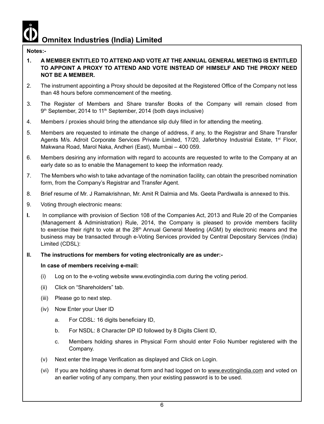#### **Notes:-**

- **1. A MEMBER ENTITLED TO ATTEND AND VOTE AT THE ANNUAL GENERAL MEETING IS ENTITLED TO APPOINT A PROXY TO ATTEND AND VOTE INSTEAD OF HIMSELF AND THE PROXY NEED NOT BE A MEMBER.**
- 2. The instrument appointing a Proxy should be deposited at the Registered Office of the Company not less than 48 hours before commencement of the meeting.
- 3. The Register of Members and Share transfer Books of the Company will remain closed from 9<sup>th</sup> September, 2014 to 11<sup>th</sup> September, 2014 (both days inclusive)
- 4. Members / proxies should bring the attendance slip duly filled in for attending the meeting.
- 5. Members are requested to intimate the change of address, if any, to the Registrar and Share Transfer Agents M/s. Adroit Corporate Services Private Limited, 17/20, Jaferbhoy Industrial Estate, 1<sup>st</sup> Floor, Makwana Road, Marol Naka, Andheri (East), Mumbai – 400 059.
- 6. Members desiring any information with regard to accounts are requested to write to the Company at an early date so as to enable the Management to keep the information ready.
- 7. The Members who wish to take advantage of the nomination facility, can obtain the prescribed nomination form, from the Company's Registrar and Transfer Agent.
- 8. Brief resume of Mr. J Ramakrishnan, Mr. Amit R Dalmia and Ms. Geeta Pardiwalla is annexed to this.
- 9. Voting through electronic means:
- **I.** In compliance with provision of Section 108 of the Companies Act, 2013 and Rule 20 of the Companies (Management & Administration) Rule, 2014, the Company is pleased to provide members facility to exercise their right to vote at the 28<sup>th</sup> Annual General Meeting (AGM) by electronic means and the business may be transacted through e-Voting Services provided by Central Depositary Services (India) Limited (CDSL):
- **II. The instructions for members for voting electronically are as under:-**

#### **In case of members receiving e-mail:**

- (i) Log on to the e-voting website www.evotingindia.com during the voting period.
- (ii) Click on "Shareholders" tab.
- (iii) Please go to next step.
- (iv) Now Enter your User ID
	- a. For CDSL: 16 digits beneficiary ID,
	- b. For NSDL: 8 Character DP ID followed by 8 Digits Client ID,
	- c. Members holding shares in Physical Form should enter Folio Number registered with the Company.
- (v) Next enter the Image Verification as displayed and Click on Login.
- (vi) If you are holding shares in demat form and had logged on to www.evotingindia.com and voted on an earlier voting of any company, then your existing password is to be used.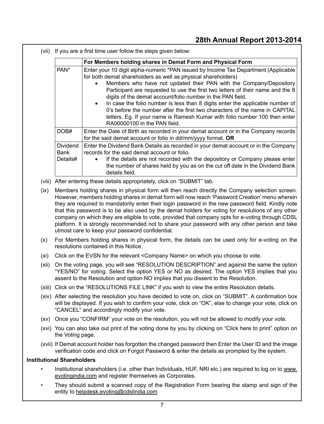(vii) If you are a first time user follow the steps given below:

|                                     | For Members holding shares in Demat Form and Physical Form                                                                                                                                                                                                                                                                                                                                                                                                                                                                                                                                                                                                           |
|-------------------------------------|----------------------------------------------------------------------------------------------------------------------------------------------------------------------------------------------------------------------------------------------------------------------------------------------------------------------------------------------------------------------------------------------------------------------------------------------------------------------------------------------------------------------------------------------------------------------------------------------------------------------------------------------------------------------|
| PAN <sup>*</sup>                    | Enter your 10 digit alpha-numeric *PAN issued by Income Tax Department (Applicable<br>for both demat shareholders as well as physical shareholders)<br>Members who have not updated their PAN with the Company/Depository<br>Participant are requested to use the first two letters of their name and the 8<br>digits of the demat account/folio number in the PAN field.<br>In case the folio number is less than 8 digits enter the applicable number of<br>$\bullet$<br>0's before the number after the first two characters of the name in CAPITAL<br>letters. Eg. If your name is Ramesh Kumar with folio number 100 then enter<br>RA00000100 in the PAN field. |
| DOB#                                | Enter the Date of Birth as recorded in your demat account or in the Company records<br>for the said demat account or folio in $dd/mm/yyy$ format. OR                                                                                                                                                                                                                                                                                                                                                                                                                                                                                                                 |
| <b>Dividend</b><br>Bank<br>Details# | Enter the Dividend Bank Details as recorded in your demat account or in the Company<br>records for the said demat account or folio.<br>If the details are not recorded with the depository or Company please enter<br>$\bullet$<br>the number of shares held by you as on the cut off date in the Dividend Bank<br>details field.                                                                                                                                                                                                                                                                                                                                    |

- (viii) After entering these details appropriately, click on "SUBMIT" tab.
- (ix) Members holding shares in physical form will then reach directly the Company selection screen. However, members holding shares in demat form will now reach 'Password Creation' menu wherein they are required to mandatorily enter their login password in the new password field. Kindly note that this password is to be also used by the demat holders for voting for resolutions of any other company on which they are eligible to vote, provided that company opts for e-voting through CDSL platform. It is strongly recommended not to share your password with any other person and take utmost care to keep your password confidential.
- (x) For Members holding shares in physical form, the details can be used only for e-voting on the resolutions contained in this Notice.
- (xi) Click on the EVSN for the relevant <Company Name> on which you choose to vote.
- (xii) On the voting page, you will see "RESOLUTION DESCRIPTION" and against the same the option "YES/NO" for voting. Select the option YES or NO as desired. The option YES implies that you assent to the Resolution and option NO implies that you dissent to the Resolution.
- (xiii) Click on the "RESOLUTIONS FILE LINK" if you wish to view the entire Resolution details.
- (xiv) After selecting the resolution you have decided to vote on, click on "SUBMIT". A confirmation box will be displayed. If you wish to confirm your vote, click on "OK", else to change your vote, click on "CANCEL" and accordingly modify your vote.
- (xv) Once you "CONFIRM" your vote on the resolution, you will not be allowed to modify your vote.
- (xvi) You can also take out print of the voting done by you by clicking on "Click here to print" option on the Voting page.
- (xvii) If Demat account holder has forgotten the changed password then Enter the User ID and the image verification code and click on Forgot Password & enter the details as prompted by the system.

#### **Institutional Shareholders**

- Institutional shareholders (i.e. other than Individuals, HUF, NRI etc.) are required to log on to www. evotingindia.com and register themselves as Corporates.
- They should submit a scanned copy of the Registration Form bearing the stamp and sign of the entity to helpdesk.evoting@cdslindia.com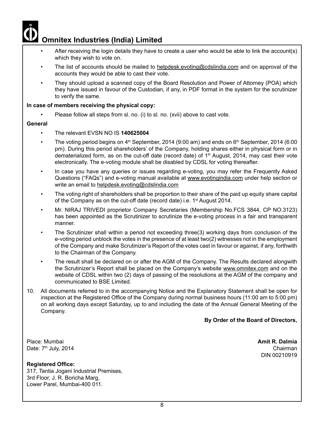- After receiving the login details they have to create a user who would be able to link the account(s) which they wish to vote on.
- The list of accounts should be mailed to helpdesk.evoting@cdslindia.com and on approval of the accounts they would be able to cast their vote.
- They should upload a scanned copy of the Board Resolution and Power of Attorney (POA) which they have issued in favour of the Custodian, if any, in PDF format in the system for the scrutinizer to verify the same.

#### **In case of members receiving the physical copy:**

Please follow all steps from sl. no. (i) to sl. no. (xvii) above to cast vote.

#### **General**

- The relevant FVSN NO IS 140625004
- The voting period begins on  $4<sup>th</sup>$  September, 2014 (9:00 am) and ends on  $6<sup>th</sup>$  September, 2014 (6:00 pm). During this period shareholders' of the Company, holding shares either in physical form or in dematerialized form, as on the cut-off date (record date) of  $1<sup>th</sup>$  August, 2014, may cast their vote electronically. The e-voting module shall be disabled by CDSL for voting thereafter.
- In case you have any queries or issues regarding e-voting, you may refer the Frequently Asked Questions ("FAQs") and e-voting manual available at www.evotingindia.com under help section or write an email to helpdesk.evoting@cdslindia.com
- • The voting right of shareholders shall be proportion to their share of the paid up equity share capital of the Company as on the cut-off date (record date) i.e. 1<sup>st</sup> August 2014.
- Mr. NIRAJ TRIVEDI proprietor Company Secretaries (Membership No.FCS 3844, CP NO.3123) has been appointed as the Scrutinizer to scrutinize the e-voting process in a fair and transparent manner.
- The Scrutinizer shall within a period not exceeding three(3) working days from conclusion of the e-voting period unblock the votes in the presence of at least two(2) witnesses not in the employment of the Company and make Scrutinizer's Report of the votes cast in favour or against, if any, forthwith to the Chairman of the Company.
- The result shall be declared on or after the AGM of the Company. The Results declared alongwith the Scrutinizer's Report shall be placed on the Company's website www.omnitex.com and on the website of CDSL within two (2) days of passing of the resolutions at the AGM of the company and communicated to BSE Limited.
- 10. All documents referred to in the accompanying Notice and the Explanatory Statement shall be open for inspection at the Registered Office of the Company during normal business hours (11:00 am to 5:00 pm) on all working days except Saturday, up to and including the date of the Annual General Meeting of the Company.

**By Order of the Board of Directors,**

Place: Mumbai **Amit R. Dalmia** Date: 7<sup>th</sup> July, 2014 **Chairman** 

#### **Registered Office:**

317, Tantia Jogani Industrial Premises, 3rd Floor, J. R. Boricha Marg, Lower Parel, Mumbai-400 011.

DIN 00210919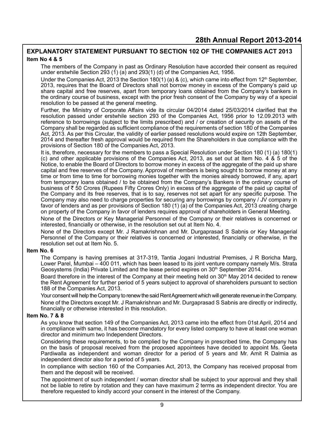#### **EXPLANATORY STATEMENT PURSUANT TO SECTION 102 OF THE COMPANIES ACT 2013 Item No 4 & 5**

 The members of the Company in past as Ordinary Resolution have accorded their consent as required under erstwhile Section 293 (1) (a) and 293(1) (d) of the Companies Act, 1956.

Under the Companies Act, 2013 the Section 180(1) (a) & (c), which came into effect from 12<sup>th</sup> September, 2013, requires that the Board of Directors shall not borrow money in excess of the Company's paid up share capital and free reserves, apart from temporary loans obtained from the Company's bankers in the ordinary course of business, except with the prior fresh consent of the Company by way of a special resolution to be passed at the general meeting.

 Further, the Ministry of Corporate Affairs vide its circular 04/2014 dated 25/03/2014 clarified that the resolution passed under erstwhile section 293 of the Companies Act, 1956 prior to 12.09.2013 with reference to borrowings (subject to the limits prescribed) and / or creation of security on assets of the Company shall be regarded as sufficient compliance of the requirements of section 180 of the Companies Act, 2013. As per this Circular, the validity of earlier passed resolutions would expire on 12th September, 2014 and thereafter fresh approval would be required from the Shareholders in due compliance with the provisions of Section 180 of the Companies Act, 2013.

It is, therefore, necessary for the members to pass a Special Resolution under Section 180 (1) (a) 180(1) (c) and other applicable provisions of the Companies Act, 2013, as set out at Item No. 4 & 5 of the Notice, to enable the Board of Directors to borrow money in excess of the aggregate of the paid up share capital and free reserves of the Company. Approval of members is being sought to borrow money at any time or from time to time for borrowing monies together with the monies already borrowed, if any, apart from temporary loans obtained / to be obtained from the Company's Bankers in the ordinary course of business of  $\bar{\tau}$  50 Crores (Rupees Fifty Crores Only) in excess of the aggregate of the paid up capital of the Company and its free reserves, that is to say, reserves not set apart for any specific purpose. The Company may also need to charge properties for securing any borrowings by company / JV company in favor of lenders and as per provisions of Section 180 (1) (a) of the Companies Act, 2013 creating charge on property of the Company in favor of lenders requires approval of shareholders in General Meeting.

None of the Directors or Key Managerial Personnel of the Company or their relatives is concerned or interested, financially or otherwise, in the resolution set out at Item No. 4.

None of the Directors except Mr. J Ramakrishnan and Mr. Durgaprasad S Sabnis or Key Managerial Personnel of the Company or their relatives is concerned or interested, financially or otherwise, in the resolution set out at Item No. 5.

#### **Item No. 6**

The Company is having premises at 317-319, Tantia Jogani Industrial Premises, J R Boricha Marg, Lower Parel, Mumbai – 400 011, which has been leased to its joint venture company namely M/s. Strata Geosystems (India) Private Limited and the lease period expires on 30<sup>th</sup> September 2014.

Board therefore in the interest of the Company at their meeting held on 30<sup>th</sup> May 2014 decided to renew the Rent Agreement for further period of 5 years subject to approval of shareholders pursuant to section 188 of the Companies Act, 2013.

Your consent will help the Company to renew the said Rent Agreement which will generate revenue in the Company. None of the Directors except Mr. J Ramakrishnan and Mr. Durgaprasad S Sabnis are directly or indirectly, financially or otherwise interested in this resolution.

#### **Item No. 7 & 8**

As you know that section 149 of the Companies Act, 2013 came into the effect from 01st April, 2014 and in compliance with same, it has become mandatory for every listed company to have at least one woman director and minimum two Independent Directors.

Considering these requirements, to be complied by the Company in prescribed time, the Company has on the basis of proposal received from the proposed appointees have decided to appoint Ms. Geeta Pardiwalla as independent and woman director for a period of 5 years and Mr. Amit R Dalmia as independent director also for a period of 5 years.

In compliance with section 160 of the Companies Act, 2013, the Company has received proposal from them and the deposit will be received.

The appointment of such independent / woman director shall be subject to your approval and they shall not be liable to retire by rotation and they can have maximum 2 terms as independent director. You are therefore requested to kindly accord your consent in the interest of the Company.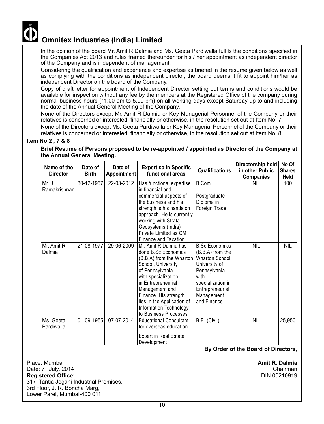

 In the opinion of the board Mr. Amit R Dalmia and Ms. Geeta Pardiwalla fulfils the conditions specified in the Companies Act 2013 and rules framed thereunder for his / her appointment as independent director of the Company and is independent of management.

 Considering the qualification and experience and expertise as briefed in the resume given below as well as complying with the conditions as independent director, the board deems it fit to appoint him/her as independent Director on the board of the Company.

Copy of draft letter for appointment of Independent Director setting out terms and conditions would be available for inspection without any fee by the members at the Registered Office of the company during normal business hours (11:00 am to 5.00 pm) on all working days except Saturday up to and including the date of the Annual General Meeting of the Company.

None of the Directors except Mr. Amit R Dalmia or Key Managerial Personnel of the Company or their relatives is concerned or interested, financially or otherwise, in the resolution set out at Item No. 7.

None of the Directors except Ms. Geeta Pardiwalla or Key Managerial Personnel of the Company or their relatives is concerned or interested, financially or otherwise, in the resolution set out at Item No. 8.

#### **Item No 2 , 7 & 8**

**Brief Resume of Persons proposed to be re-appointed / appointed as Director of the Company at the Annual General Meeting.**

| Name of the<br><b>Director</b> | Date of<br><b>Birth</b> | Date of<br><b>Appointment</b> | <b>Expertise in Specific</b><br>functional areas                                                                                                                                                                                                                                           | <b>Qualifications</b>                                                                                                                                                      | Directorship held<br>in other Public<br><b>Companies</b> | No Of<br><b>Shares</b><br><b>Held</b> |
|--------------------------------|-------------------------|-------------------------------|--------------------------------------------------------------------------------------------------------------------------------------------------------------------------------------------------------------------------------------------------------------------------------------------|----------------------------------------------------------------------------------------------------------------------------------------------------------------------------|----------------------------------------------------------|---------------------------------------|
| Mr. J<br>Ramakrishnan          | 30-12-1957              | 22-03-2012                    | Has functional expertise<br>in financial and<br>commercial aspects of<br>the business and his<br>strength is his hands on<br>approach. He is currently<br>working with Strata<br>Geosystems (India)<br>Private Limited as GM<br>Finance and Taxation.                                      | B.Com.,<br>Postgraduate<br>Diploma in<br>Foreign Trade.                                                                                                                    | <b>NIL</b>                                               | 100                                   |
| Mr. Amit R<br>Dalmia           | 21-08-1977              | 29-06-2009                    | Mr. Amit R Dalmia has<br>done B.Sc Economics<br>(B.B.A) from the Wharton<br>School, University<br>of Pennsylvania<br>with specialization<br>in Entrepreneurial<br>Management and<br>Finance. His strength<br>lies in the Application of<br>Information Technology<br>to Business Processes | <b>B.Sc Economics</b><br>(B.B.A) from the<br>Wharton School,<br>University of<br>Pennsylvania<br>with<br>specialization in<br>Entrepreneurial<br>Management<br>and Finance | <b>NIL</b>                                               | <b>NIL</b>                            |
| Ms. Geeta<br>Pardiwalla        | 01-09-1955              | 07-07-2014                    | <b>Educational Consultant</b><br>for overseas education<br><b>Expert in Real Estate</b><br>Development                                                                                                                                                                                     | B.E. (Civil)                                                                                                                                                               | <b>NIL</b>                                               | 25,950                                |

**By Order of the Board of Directors,**

Place: Mumbai **Amit R. Dalmia** Date: 7th July, 2014 Chairman **Registered Office:** 317, Tantia Jogani Industrial Premises, 3rd Floor, J. R. Boricha Marg, Lower Parel, Mumbai-400 011.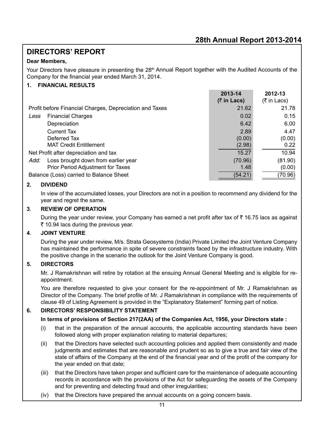## **DIRECTORS' REPORT**

#### **Dear Members,**

Your Directors have pleasure in presenting the 28<sup>th</sup> Annual Report together with the Audited Accounts of the Company for the financial year ended March 31, 2014.

#### **1. FINANCIAL RESULTS**

|                                                         | 2013-14<br>$($ ₹ in Lacs) | 2012-13<br>$(5 \text{ in } \text{Lacs})$ |
|---------------------------------------------------------|---------------------------|------------------------------------------|
| Profit before Financial Charges, Depreciation and Taxes | 21.62                     | 21.78                                    |
| <b>Financial Charges</b><br>Less                        | 0.02                      | 0.15                                     |
| Depreciation                                            | 6.42                      | 6.00                                     |
| <b>Current Tax</b>                                      | 2.89                      | 4.47                                     |
| Deferred Tax                                            | (0.00)                    | (0.00)                                   |
| <b>MAT Credit Entitlement</b>                           | (2.98)                    | 0.22                                     |
| Net Profit after depreciation and tax                   | 15.27                     | 10.94                                    |
| Loss brought down from earlier year<br>Add:             | (70.96)                   | (81.90)                                  |
| Prior Period Adjustment for Taxes                       | 1.48                      | (0.00)                                   |
| Balance (Loss) carried to Balance Sheet                 | (54.21)                   | (70.96)                                  |

#### **2. DIVIDEND**

In view of the accumulated losses, your Directors are not in a position to recommend any dividend for the year and regret the same.

#### **3**. **REVIEW OF OPERATION**

During the year under review, your Company has earned a net profit after tax of  $\bar{\tau}$  16.75 lacs as against ` 10.94 lacs during the previous year.

#### **4**. **JOINT VENTURE**

During the year under review, M/s. Strata Geosystems (India) Private Limited the Joint Venture Company has maintained the performance in spite of severe constraints faced by the infrastructure industry. With the positive change in the scenario the outlook for the Joint Venture Company is good.

#### **5. DIRECTORS**

Mr. J Ramakrishnan will retire by rotation at the ensuing Annual General Meeting and is eligible for reappointment.

You are therefore requested to give your consent for the re-appointment of Mr. J Ramakrishnan as Director of the Company. The brief profile of Mr. J Ramakrishnan in compliance with the requirements of clause 49 of Listing Agreement is provided in the "Explanatory Statement" forming part of notice.

#### **6. DIRECTORS' RESPONSIBILITY STATEMENT**

#### **In terms of provisions of Section 217(2AA) of the Companies Act, 1956, your Directors state :**

- (i) that in the preparation of the annual accounts, the applicable accounting standards have been followed along with proper explanation relating to material departures;
- (ii) that the Directors have selected such accounting policies and applied them consistently and made judgments and estimates that are reasonable and prudent so as to give a true and fair view of the state of affairs of the Company at the end of the financial year and of the profit of the company for the year ended on that date;
- (iii) that the Directors have taken proper and sufficient care for the maintenance of adequate accounting records in accordance with the provisions of the Act for safeguarding the assets of the Company and for preventing and detecting fraud and other irregularities;
- (iv) that the Directors have prepared the annual accounts on a going concern basis.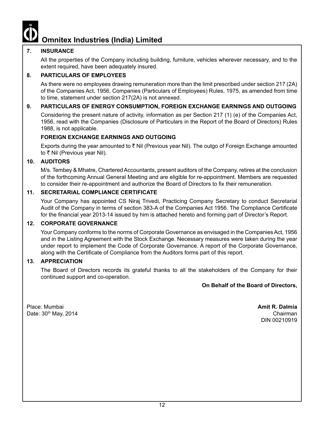#### **7. INSURANCE**

All the properties of the Company including building, furniture, vehicles wherever necessary, and to the extent required, have been adequately insured.

#### **8. PARTICULARS OF EMPLOYEES**

As there were no employees drawing remuneration more than the limit prescribed under section 217 (2A) of the Companies Act, 1956, Companies (Particulars of Employees) Rules, 1975, as amended from time to time, statement under section 217(2A) is not annexed.

#### **9. PARTICULARS OF ENERGY CONSUMPTION, FOREIGN EXCHANGE EARNINGS AND OUTGOING**

Considering the present nature of activity, information as per Section 217 (1) (e) of the Companies Act, 1956, read with the Companies (Disclosure of Particulars in the Report of the Board of Directors) Rules 1988, is not applicable.

#### **FOREIGN EXCHANGE EARNINGS AND OUTGOING**

Exports during the year amounted to  $\bar{\tau}$  Nil (Previous year Nil). The outgo of Foreign Exchange amounted to ₹ Nil (Previous year Nil).

#### **10. AUDITORS**

M/s. Tembey & Mhatre, Chartered Accountants, present auditors of the Company, retires at the conclusion of the forthcoming Annual General Meeting and are eligible for re-appointment. Members are requested to consider their re-appointment and authorize the Board of Directors to fix their remuneration.

#### **11. SECRETARIAL COMPLIANCE CERTIFICATE**

Your Company has appointed CS Niraj Trivedi, Practicing Company Secretary to conduct Secretarial Audit of the Company in terms of section 383-A of the Companies Act 1956. The Compliance Certificate for the financial year 2013-14 issued by him is attached hereto and forming part of Director's Report.

#### **12. CORPORATE GOVERNANCE**

Your Company conforms to the norms of Corporate Governance as envisaged in the Companies Act, 1956 and in the Listing Agreement with the Stock Exchange. Necessary measures were taken during the year under report to implement the Code of Corporate Governance. A report of the Corporate Governance, along with the Certificate of Compliance from the Auditors forms part of this report.

#### **13. APPRECIATION**

The Board of Directors records its grateful thanks to all the stakeholders of the Company for their continued support and co-operation.

**On Behalf of the Board of Directors,**

Place: Mumbai **Amit R. Dalmia** Date: 30<sup>th</sup> May, 2014 **Chairman** 

DIN 00210919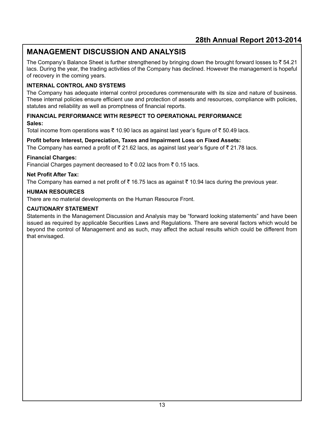## **MANAGEMENT DISCUSSION AND ANALYSIS**

The Company's Balance Sheet is further strengthened by bringing down the brought forward losses to  $\bar{z}$  54.21 lacs. During the year, the trading activities of the Company has declined. However the management is hopeful of recovery in the coming years.

#### **INTERNAL CONTROL AND SYSTEMS**

The Company has adequate internal control procedures commensurate with its size and nature of business. These internal policies ensure efficient use and protection of assets and resources, compliance with policies, statutes and reliability as well as promptness of financial reports.

#### **FINANCIAL PERFORMANCE WITH RESPECT TO OPERATIONAL PERFORMANCE Sales:**

Total income from operations was  $\bar{\tau}$  10.90 lacs as against last year's figure of  $\bar{\tau}$  50.49 lacs.

#### **Profit before Interest, Depreciation, Taxes and Impairment Loss on Fixed Assets:**

The Company has earned a profit of  $\overline{\zeta}$  21.62 lacs, as against last year's figure of  $\overline{\zeta}$  21.78 lacs.

#### **Financial Charges:**

Financial Charges payment decreased to  $\bar{\tau}$  0.02 lacs from  $\bar{\tau}$  0.15 lacs.

#### **Net Profit After Tax:**

The Company has earned a net profit of  $\bar{\tau}$  16.75 lacs as against  $\bar{\tau}$  10.94 lacs during the previous year.

#### **HUMAN RESOURCES**

There are no material developments on the Human Resource Front.

#### **CAUTIONARY STATEMENT**

Statements in the Management Discussion and Analysis may be "forward looking statements" and have been issued as required by applicable Securities Laws and Regulations. There are several factors which would be beyond the control of Management and as such, may affect the actual results which could be different from that envisaged.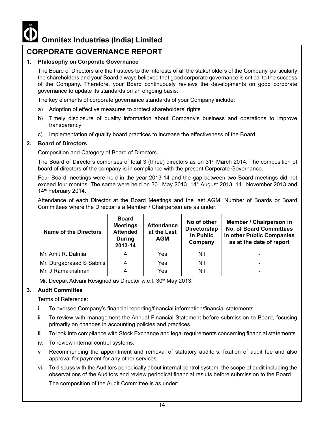## **CORPORATE GOVERNANCE REPORT**

#### **1. Philosophy on Corporate Governance**

The Board of Directors are the trustees to the interests of all the stakeholders of the Company, particularly the shareholders and your Board always believed that good corporate governance is critical to the success of the Company. Therefore, your Board continuously reviews the developments on good corporate governance to update its standards on an ongoing basis.

The key elements of corporate governance standards of your Company include:

- a) Adoption of effective measures to protect shareholders' rights
- b) Timely disclosure of quality information about Company's business and operations to improve transparency
- c) Implementation of quality board practices to increase the effectiveness of the Board

#### **2. Board of Directors**

Composition and Category of Board of Directors

The Board of Directors comprises of total 3 (three) directors as on 31<sup>st</sup> March 2014. The composition of board of directors of the company is in compliance with the present Corporate Governance.

Four Board meetings were held in the year 2013-14 and the gap between two Board meetings did not exceed four months. The same were held on  $30<sup>th</sup>$  May 2013, 14<sup>th</sup> August 2013, 14<sup>th</sup> November 2013 and 14<sup>th</sup> February 2014.

Attendance of each Director at the Board Meetings and the last AGM, Number of Boards or Board Committees where the Director is a Member / Chairperson are as under:

| <b>Name of the Directors</b> | <b>Board</b><br><b>Meetings</b><br><b>Attended</b><br><b>During</b><br>2013-14 | <b>Attendance</b><br>at the Last<br><b>AGM</b> | No of other<br>Directorship<br>in Public<br>Company | Member / Chairperson in<br><b>No. of Board Committees</b><br>in other Public Companies<br>as at the date of report |
|------------------------------|--------------------------------------------------------------------------------|------------------------------------------------|-----------------------------------------------------|--------------------------------------------------------------------------------------------------------------------|
| l Mr. Amit R. Dalmia         |                                                                                | Yes                                            | Nil                                                 |                                                                                                                    |
| Mr. Durgaprasad S Sabnis     | 4                                                                              | Yes                                            | Nil                                                 |                                                                                                                    |
| Mr. J Ramakrishnan           |                                                                                | Yes                                            | Nil                                                 |                                                                                                                    |

Mr. Deepak Advani Resigned as Director w.e.f. 30<sup>th</sup> May 2013.

#### **3. Audit Committee**

Terms of Reference:

- i. To oversee Company's financial reporting/financial information/financial statements.
- ii. To review with management the Annual Financial Statement before submission to Board, focusing primarily on changes in accounting policies and practices.
- iii. To look into compliance with Stock Exchange and legal requirements concerning financial statements.
- iv. To review internal control systems.
- v. Recommending the appointment and removal of statutory auditors, fixation of audit fee and also approval for payment for any other services.
- vi. To discuss with the Auditors periodically about internal control system, the scope of audit including the observations of the Auditors and review periodical financial results before submission to the Board.

The composition of the Audit Committee is as under: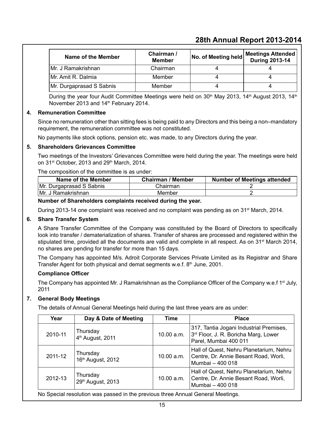| Name of the Member       | Chairman /<br><b>Member</b> | No. of Meeting held | Meetings Attended<br><b>During 2013-14</b> |
|--------------------------|-----------------------------|---------------------|--------------------------------------------|
| Mr. J Ramakrishnan       | Chairman                    |                     |                                            |
| Mr. Amit R. Dalmia       | Member                      |                     |                                            |
| Mr. Durgaprasad S Sabnis | Member                      |                     |                                            |

During the year four Audit Committee Meetings were held on  $30<sup>th</sup>$  May 2013, 14<sup>th</sup> August 2013, 14<sup>th</sup> November 2013 and 14<sup>th</sup> February 2014.

#### **4. Remuneration Committee**

Since no remuneration other than sitting fees is being paid to any Directors and this being a non–mandatory requirement, the remuneration committee was not constituted.

No payments like stock options, pension etc. was made, to any Directors during the year.

#### **5. Shareholders Grievances Committee**

Two meetings of the Investors' Grievances Committee were held during the year. The meetings were held on  $31<sup>st</sup>$  October, 2013 and  $29<sup>th</sup>$  March, 2014.

The composition of the committee is as under:

| Name of the Member       | <b>Chairman / Member</b> | <b>Number of Meetings attended</b> |
|--------------------------|--------------------------|------------------------------------|
| Mr. Durgaprasad S Sabnis | Chairman                 |                                    |
| IMr. J Ramakrishnan      | Member                   |                                    |

#### **Number of Shareholders complaints received during the year.**

During 2013-14 one complaint was received and no complaint was pending as on 31<sup>st</sup> March, 2014.

#### **6. Share Transfer System**

 A Share Transfer Committee of the Company was constituted by the Board of Directors to specifically look into transfer / dematerialization of shares. Transfer of shares are processed and registered within the stipulated time, provided all the documents are valid and complete in all respect. As on  $31<sup>st</sup>$  March 2014, no shares are pending for transfer for more than 15 days.

The Company has appointed M/s. Adroit Corporate Services Private Limited as its Registrar and Share Transfer Agent for both physical and demat segments w.e.f.  $8<sup>th</sup>$  June, 2001.

#### **Compliance Officer**

The Company has appointed Mr. J Ramakrishnan as the Compliance Officer of the Company w.e.f  $1<sup>st</sup>$  July, 2011

#### **7. General Body Meetings**

The details of Annual General Meetings held during the last three years are as under:

| Year    | Day & Date of Meeting                     | <b>Time</b> | <b>Place</b>                                                                                             |
|---------|-------------------------------------------|-------------|----------------------------------------------------------------------------------------------------------|
| 2010-11 | Thursday<br>4 <sup>th</sup> August, 2011  | 10.00 a.m.  | 317, Tantia Jogani Industrial Premises,<br>3rd Floor, J. R. Boricha Marg, Lower<br>Parel, Mumbai 400 011 |
| 2011-12 | Thursday<br>16 <sup>th</sup> August, 2012 | 10.00 a.m.  | Hall of Quest, Nehru Planetarium, Nehru<br>Centre, Dr. Annie Besant Road, Worli,<br>Mumbai - 400 018     |
| 2012-13 | Thursday<br>29th August, 2013             | 10.00 a.m.  | Hall of Quest, Nehru Planetarium, Nehru<br>Centre, Dr. Annie Besant Road, Worli,<br>Mumbai - 400 018     |

No Special resolution was passed in the previous three Annual General Meetings.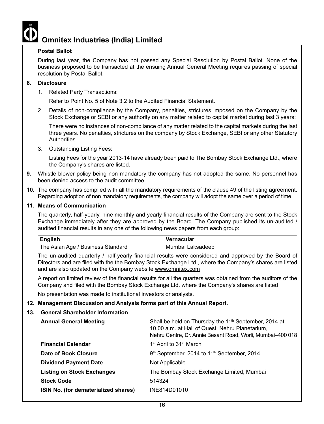#### **Postal Ballot**

During last year, the Company has not passed any Special Resolution by Postal Ballot. None of the business proposed to be transacted at the ensuing Annual General Meeting requires passing of special resolution by Postal Ballot.

#### **8. Disclosure**

1. Related Party Transactions:

Refer to Point No. 5 of Note 3.2 to the Audited Financial Statement.

2. Details of non-compliance by the Company, penalties, strictures imposed on the Company by the Stock Exchange or SEBI or any authority on any matter related to capital market during last 3 years:

There were no instances of non-compliance of any matter related to the capital markets during the last three years. No penalties, strictures on the company by Stock Exchange, SEBI or any other Statutory Authorities.

3. Outstanding Listing Fees:

Listing Fees for the year 2013-14 have already been paid to The Bombay Stock Exchange Ltd., where the Company's shares are listed.

- **9.** Whistle blower policy being non mandatory the company has not adopted the same. No personnel has been denied access to the audit committee.
- **10.** The company has complied with all the mandatory requirements of the clause 49 of the listing agreement. Regarding adoption of non mandatory requirements, the company will adopt the same over a period of time.

#### **11. Means of Communication**

 The quarterly, half-yearly, nine monthly and yearly financial results of the Company are sent to the Stock Exchange immediately after they are approved by the Board. The Company published its un-audited / audited financial results in any one of the following news papers from each group:

| <b>English</b>                    | Vernacular       |
|-----------------------------------|------------------|
| The Asian Age / Business Standard | Mumbai Laksadeep |

 The un-audited quarterly / half-yearly financial results were considered and approved by the Board of Directors and are filed with the the Bombay Stock Exchange Ltd., where the Company's shares are listed and are also updated on the Company website www.omnitex.com

 A report on limited review of the financial results for all the quarters was obtained from the auditors of the Company and filed with the Bombay Stock Exchange Ltd. where the Company's shares are listed

No presentation was made to institutional investors or analysts.

#### **12. Management Discussion and Analysis forms part of this Annual Report.**

#### **13. General Shareholder Information**

| <b>Annual General Meeting</b>               | Shall be held on Thursday the 11 <sup>th</sup> September, 2014 at<br>10.00 a.m. at Hall of Quest, Nehru Planetarium,<br>Nehru Centre, Dr. Annie Besant Road, Worli, Mumbai-400 018 |
|---------------------------------------------|------------------------------------------------------------------------------------------------------------------------------------------------------------------------------------|
| <b>Financial Calendar</b>                   | 1 <sup>st</sup> April to 31 <sup>st</sup> March                                                                                                                                    |
| Date of Book Closure                        | 9th September, 2014 to 11th September, 2014                                                                                                                                        |
| <b>Dividend Payment Date</b>                | Not Applicable                                                                                                                                                                     |
| <b>Listing on Stock Exchanges</b>           | The Bombay Stock Exchange Limited, Mumbai                                                                                                                                          |
| <b>Stock Code</b>                           | 514324                                                                                                                                                                             |
| <b>ISIN No. (for dematerialized shares)</b> | INF814D01010                                                                                                                                                                       |
|                                             |                                                                                                                                                                                    |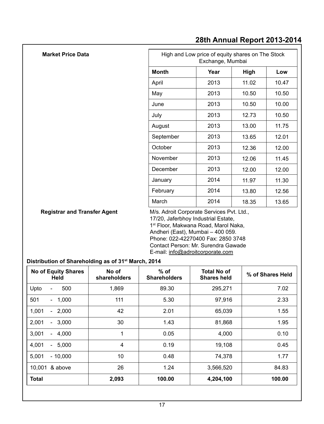| <b>Market Price Data</b>            |                                           | High and Low price of equity shares on The Stock<br>Exchange, Mumbai |       |       |  |
|-------------------------------------|-------------------------------------------|----------------------------------------------------------------------|-------|-------|--|
|                                     | <b>Month</b>                              | Year                                                                 | High  | Low   |  |
|                                     | April                                     | 2013                                                                 | 11.02 | 10.47 |  |
|                                     | May                                       | 2013                                                                 | 10.50 | 10.50 |  |
|                                     | June                                      | 2013                                                                 | 10.50 | 10.00 |  |
|                                     | July                                      | 2013                                                                 | 12.73 | 10.50 |  |
|                                     | August                                    | 2013                                                                 | 13.00 | 11.75 |  |
|                                     | September                                 | 2013                                                                 | 13.65 | 12.01 |  |
|                                     | October                                   | 2013                                                                 | 12.36 | 12.00 |  |
|                                     | November                                  | 2013                                                                 | 12.06 | 11.45 |  |
|                                     | December                                  | 2013                                                                 | 12.00 | 12.00 |  |
|                                     | January                                   | 2014                                                                 | 11.97 | 11.30 |  |
|                                     | February                                  | 2014                                                                 | 13.80 | 12.56 |  |
|                                     | March                                     | 2014                                                                 | 18.35 | 13.65 |  |
| <b>Registrar and Transfer Agent</b> | M/s. Adroit Corporate Services Pvt. Ltd., |                                                                      |       |       |  |

17/20, Jaferbhoy Industrial Estate, 1<sup>st</sup> Floor, Makwana Road, Marol Naka, Andheri (East), Mumbai – 400 059. Phone: 022-42270400 Fax: 2850 3748 Contact Person: Mr. Surendra Gawade E-mail: info@adroitcorporate.com

### **Distribution of Shareholding as of 31st March, 2014**

| <b>No of Equity Shares</b><br>Held | No of<br>shareholders | $%$ of<br><b>Shareholders</b> | <b>Total No of</b><br><b>Shares held</b> | % of Shares Held |
|------------------------------------|-----------------------|-------------------------------|------------------------------------------|------------------|
| Upto<br>500<br>۰                   | 1,869                 | 89.30                         | 295,271                                  | 7.02             |
| 501<br>$-1,000$                    | 111                   | 5.30                          | 97,916                                   | 2.33             |
| $-2,000$<br>1,001                  | 42                    | 2.01                          | 65,039                                   | 1.55             |
| 2,001<br>$-3,000$                  | 30                    | 1.43                          | 81,868                                   | 1.95             |
| 3,001<br>$-4,000$                  | 1                     | 0.05                          | 4,000                                    | 0.10             |
| 4,001<br>5,000<br>$\sim$           | 4                     | 0.19                          | 19,108                                   | 0.45             |
| 5.001<br>$-10,000$                 | 10                    | 0.48                          | 74,378                                   | 1.77             |
| & above<br>10.001                  | 26                    | 1.24                          | 3,566,520                                | 84.83            |
| <b>Total</b>                       | 2,093                 | 100.00                        | 4,204,100                                | 100.00           |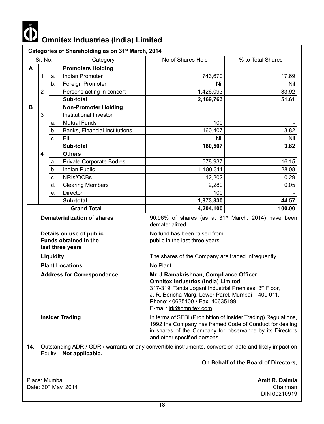

|   |                         | Sr. No.<br>Category |                                                                              | No of Shares Held                                                                                                                                                                                                                                                  | % to Total Shares |  |  |
|---|-------------------------|---------------------|------------------------------------------------------------------------------|--------------------------------------------------------------------------------------------------------------------------------------------------------------------------------------------------------------------------------------------------------------------|-------------------|--|--|
| А |                         |                     | <b>Promoters Holding</b>                                                     |                                                                                                                                                                                                                                                                    |                   |  |  |
|   | 1                       | a.                  | Indian Promoter                                                              | 743,670                                                                                                                                                                                                                                                            | 17.69             |  |  |
|   |                         | b.                  | Foreign Promoter                                                             | Nil                                                                                                                                                                                                                                                                | <b>Nil</b>        |  |  |
|   | $\overline{2}$          |                     | Persons acting in concert                                                    | 1,426,093                                                                                                                                                                                                                                                          | 33.92             |  |  |
|   |                         |                     | Sub-total                                                                    | 2,169,763                                                                                                                                                                                                                                                          | 51.61             |  |  |
| в |                         |                     | <b>Non-Promoter Holding</b>                                                  |                                                                                                                                                                                                                                                                    |                   |  |  |
|   | 3                       |                     | Institutional Investor                                                       |                                                                                                                                                                                                                                                                    |                   |  |  |
|   |                         | a.                  | <b>Mutual Funds</b>                                                          | 100                                                                                                                                                                                                                                                                |                   |  |  |
|   |                         | b.                  | Banks, Financial Institutions                                                | 160,407                                                                                                                                                                                                                                                            | 3.82              |  |  |
|   |                         | C.                  | FII                                                                          | Nil                                                                                                                                                                                                                                                                | Nil               |  |  |
|   |                         |                     | Sub-total                                                                    | 160,507                                                                                                                                                                                                                                                            | 3.82              |  |  |
|   | $\overline{\mathbf{4}}$ |                     | <b>Others</b>                                                                |                                                                                                                                                                                                                                                                    |                   |  |  |
|   |                         | a.                  | Private Corporate Bodies                                                     | 678,937                                                                                                                                                                                                                                                            | 16.15             |  |  |
|   |                         | b.                  | <b>Indian Public</b>                                                         | 1,180,311                                                                                                                                                                                                                                                          | 28.08             |  |  |
|   |                         | C.                  | NRIs/OCBs                                                                    | 12,202                                                                                                                                                                                                                                                             | 0.29              |  |  |
|   |                         | d.                  | <b>Clearing Members</b>                                                      | 2,280                                                                                                                                                                                                                                                              | 0.05              |  |  |
|   |                         | е.                  | Director                                                                     | 100                                                                                                                                                                                                                                                                |                   |  |  |
|   |                         |                     | Sub-total                                                                    | 1,873,830                                                                                                                                                                                                                                                          | 44.57             |  |  |
|   |                         |                     | <b>Grand Total</b>                                                           | 4,204,100                                                                                                                                                                                                                                                          | 100.00            |  |  |
|   |                         |                     | <b>Dematerialization of shares</b>                                           | 90.96% of shares (as at 31 <sup>st</sup> March, 2014) have been<br>dematerialized.<br>No fund has been raised from<br>public in the last three years.<br>The shares of the Company are traded infrequently.                                                        |                   |  |  |
|   |                         |                     | Details on use of public<br><b>Funds obtained in the</b><br>last three years |                                                                                                                                                                                                                                                                    |                   |  |  |
|   |                         | Liquidity           |                                                                              |                                                                                                                                                                                                                                                                    |                   |  |  |
|   |                         |                     | <b>Plant Locations</b>                                                       | No Plant                                                                                                                                                                                                                                                           |                   |  |  |
|   |                         |                     | <b>Address for Correspondence</b>                                            | Mr. J Ramakrishnan, Compliance Officer<br><b>Omnitex Industries (India) Limited,</b><br>317-319, Tantia Jogani Industrial Premises, 3rd Floor,<br>J. R. Boricha Marg, Lower Parel, Mumbai - 400 011.<br>Phone: 40635100 · Fax: 40635199<br>E-mail: jrk@omnitex.com |                   |  |  |
|   |                         |                     | <b>Insider Trading</b>                                                       | In terms of SEBI (Prohibition of Insider Trading) Regulations,<br>1992 the Company has framed Code of Conduct for dealing<br>in shares of the Company for observance by its Directors<br>and other specified persons.                                              |                   |  |  |

**14**. Outstanding ADR / GDR / warrants or any convertible instruments, conversion date and likely impact on Equity. - **Not applicable.**

**On Behalf of the Board of Directors,**

Place: Mumbai **Amit R. Dalmia**<br>Date: 30<sup>th</sup> May, 2014 **Amit R. Dalmia** Date: 30th May, 2014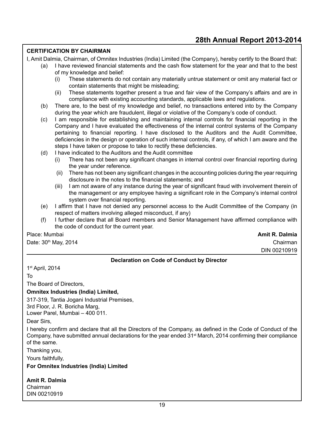#### **CERTIFICATION BY CHAIRMAN**

I, Amit Dalmia, Chairman, of Omnitex Industries (India) Limited (the Company), hereby certify to the Board that:

- (a) I have reviewed financial statements and the cash flow statement for the year and that to the best of my knowledge and belief:
	- (i) These statements do not contain any materially untrue statement or omit any material fact or contain statements that might be misleading;
	- (ii) These statements together present a true and fair view of the Company's affairs and are in compliance with existing accounting standards, applicable laws and regulations.
- (b) There are, to the best of my knowledge and belief, no transactions entered into by the Company during the year which are fraudulent, illegal or violative of the Company's code of conduct.
- (c) I am responsible for establishing and maintaining internal controls for financial reporting in the Company and I have evaluated the effectiveness of the internal control systems of the Company pertaining to financial reporting. I have disclosed to the Auditors and the Audit Committee, deficiencies in the design or operation of such internal controls, if any, of which I am aware and the steps I have taken or propose to take to rectify these deficiencies.
- (d) I have indicated to the Auditors and the Audit committee
	- (i) There has not been any significant changes in internal control over financial reporting during the year under reference.
	- (ii) There has not been any significant changes in the accounting policies during the year requiring disclosure in the notes to the financial statements; and
	- (iii) I am not aware of any instance during the year of significant fraud with involvement therein of the management or any employee having a significant role in the Company's internal control system over financial reporting.
- (e) I affirm that I have not denied any personnel access to the Audit Committee of the Company (in respect of matters involving alleged misconduct, if any)
- (f) I further declare that all Board members and Senior Management have affirmed compliance with the code of conduct for the current year.

Place: Mumbai **Amit R. Dalmia**

Date: 30<sup>th</sup> May, 2014 **Chairman** 

DIN 00210919

#### **Declaration on Code of Conduct by Director**

1st April, 2014

To

The Board of Directors,

#### **Omnitex Industries (India) Limited,**

317-319, Tantia Jogani Industrial Premises,

3rd Floor, J. R. Boricha Marg,

Lower Parel, Mumbai – 400 011.

Dear Sirs,

I hereby confirm and declare that all the Directors of the Company, as defined in the Code of Conduct of the Company, have submitted annual declarations for the year ended  $31<sup>st</sup>$  March, 2014 confirming their compliance of the same.

Thanking you,

Yours faithfully,

**For Omnitex Industries (India) Limited**

**Amit R. Dalmia** Chairman DIN 00210919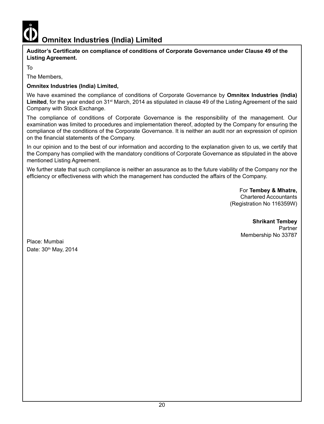

**Auditor's Certificate on compliance of conditions of Corporate Governance under Clause 49 of the Listing Agreement.**

To

The Members,

#### **Omnitex Industries (India) Limited,**

We have examined the compliance of conditions of Corporate Governance by **Omnitex Industries (India)**  Limited, for the year ended on 31<sup>st</sup> March, 2014 as stipulated in clause 49 of the Listing Agreement of the said Company with Stock Exchange.

The compliance of conditions of Corporate Governance is the responsibility of the management. Our examination was limited to procedures and implementation thereof, adopted by the Company for ensuring the compliance of the conditions of the Corporate Governance. It is neither an audit nor an expression of opinion on the financial statements of the Company.

In our opinion and to the best of our information and according to the explanation given to us, we certify that the Company has complied with the mandatory conditions of Corporate Governance as stipulated in the above mentioned Listing Agreement.

We further state that such compliance is neither an assurance as to the future viability of the Company nor the efficiency or effectiveness with which the management has conducted the affairs of the Company.

> For **Tembey & Mhatre,** Chartered Accountants (Registration No 116359W)

**Shrikant Tembey**<br>Partner Partner in the control of the control of the control of the control of the control of the control of the control of the control of the control of the control of the control of the control of the control of the control of t Membership No 33787

Place: Mumbai Date: 30<sup>th</sup> May, 2014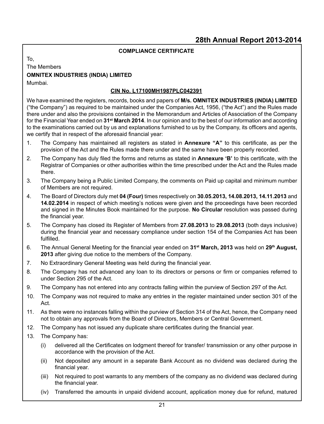#### **COMPLIANCE CERTIFICATE**

To,

#### The Members **OMNITEX INDUSTRIES (INDIA) LIMITED** Mumbai.

#### **CIN No. L17100MH1987PLC042391**

We have examined the registers, records, books and papers of **M/s. OMNITEX INDUSTRIES (INDIA) LIMITED**  ("the Company") as required to be maintained under the Companies Act, 1956, ("the Act") and the Rules made there under and also the provisions contained in the Memorandum and Articles of Association of the Company for the Financial Year ended on **31st March 2014**. In our opinion and to the best of our information and according to the examinations carried out by us and explanations furnished to us by the Company, its officers and agents, we certify that in respect of the aforesaid financial year:

- 1. The Company has maintained all registers as stated in **Annexure "A"** to this certificate, as per the provision of the Act and the Rules made there under and the same have been properly recorded.
- 2. The Company has duly filed the forms and returns as stated in **Annexure 'B'** to this certificate, with the Registrar of Companies or other authorities within the time prescribed under the Act and the Rules made there*.*
- 3. The Company being a Public Limited Company, the comments on Paid up capital and minimum number of Members are not required.
- 4. The Board of Directors duly met **04 (Four)** times respectively on **30.05.2013, 14.08.2013, 14.11.2013** and **14.02.2014** in respect of which meeting's notices were given and the proceedings have been recorded and signed in the Minutes Book maintained for the purpose. **No Circular** resolution was passed during the financial year.
- 5. The Company has closed its Register of Members from **27.08.2013** to **29.08.2013** (both days inclusive) during the financial year and necessary compliance under section 154 of the Companies Act has been fulfilled.
- 6. The Annual General Meeting for the financial year ended on **31st March, 2013** was held on **29th August, 2013** after giving due notice to the members of the Company.
- 7. No Extraordinary General Meeting was held during the financial year.
- 8. The Company has not advanced any loan to its directors or persons or firm or companies referred to under Section 295 of the Act.
- 9. The Company has not entered into any contracts falling within the purview of Section 297 of the Act.
- 10. The Company was not required to make any entries in the register maintained under section 301 of the Act.
- 11. As there were no instances falling within the purview of Section 314 of the Act, hence, the Company need not to obtain any approvals from the Board of Directors, Members or Central Government.
- 12. The Company has not issued any duplicate share certificates during the financial year.
- 13. The Company has:
	- (i) delivered all the Certificates on lodgment thereof for transfer/ transmission or any other purpose in accordance with the provision of the Act.
	- (ii) Not deposited any amount in a separate Bank Account as no dividend was declared during the financial year.
	- (iii) Not required to post warrants to any members of the company as no dividend was declared during the financial year.
	- (iv) Transferred the amounts in unpaid dividend account, application money due for refund, matured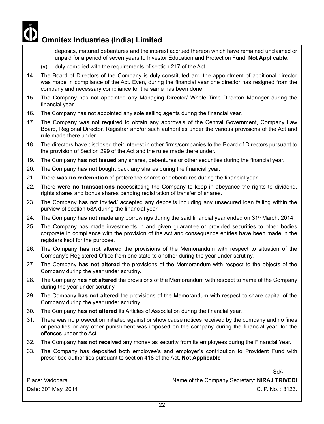deposits, matured debentures and the interest accrued thereon which have remained unclaimed or unpaid for a period of seven years to Investor Education and Protection Fund. **Not Applicable**.

- (v) duly complied with the requirements of section 217 of the Act.
- 14. The Board of Directors of the Company is duly constituted and the appointment of additional director was made in compliance of the Act. Even, during the financial year one director has resigned from the company and necessary compliance for the same has been done.
- 15. The Company has not appointed any Managing Director/ Whole Time Director/ Manager during the financial year.
- 16. The Company has not appointed any sole selling agents during the financial year.
- 17. The Company was not required to obtain any approvals of the Central Government, Company Law Board, Regional Director, Registrar and/or such authorities under the various provisions of the Act and rule made there under.
- 18. The directors have disclosed their interest in other firms/companies to the Board of Directors pursuant to the provision of Section 299 of the Act and the rules made there under.
- 19. The Company **has not issued** any shares, debentures or other securities during the financial year.
- 20. The Company **has not** bought back any shares during the financial year.
- 21. There **was no redemption** of preference shares or debentures during the financial year.
- 22. There **were no transactions** necessitating the Company to keep in abeyance the rights to dividend, rights shares and bonus shares pending registration of transfer of shares.
- 23. The Company has not invited/ accepted any deposits including any unsecured loan falling within the purview of section 58A during the financial year.
- 24. The Company has not made any borrowings during the said financial year ended on 31<sup>st</sup> March, 2014.
- 25. The Company has made investments in and given guarantee or provided securities to other bodies corporate in compliance with the provision of the Act and consequence entries have been made in the registers kept for the purpose.
- 26. The Company **has not altered** the provisions of the Memorandum with respect to situation of the Company's Registered Office from one state to another during the year under scrutiny.
- 27. The Company **has not altered** the provisions of the Memorandum with respect to the objects of the Company during the year under scrutiny.
- 28. The Company **has not altered** the provisions of the Memorandum with respect to name of the Company during the year under scrutiny.
- 29. The Company **has not altered** the provisions of the Memorandum with respect to share capital of the Company during the year under scrutiny.
- 30. The Company **has not altered** its Articles of Association during the financial year.
- 31. There was no prosecution initiated against or show cause notices received by the company and no fines or penalties or any other punishment was imposed on the company during the financial year, for the offences under the Act.
- 32. The Company **has not received** any money as security from its employees during the Financial Year.
- 33. The Company has deposited both employee's and employer's contribution to Provident Fund with prescribed authorities pursuant to section 418 of the Act. **Not Applicable**

Sd/-

Place: Vadodara **Name of the Company Secretary: NIRAJ TRIVEDI** Date:  $30<sup>th</sup>$  May, 2014 C. P. No. : 3123.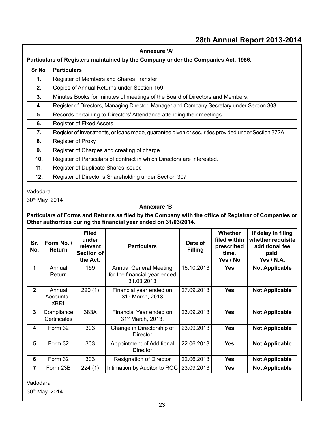|         | Annexure 'A'                                                                                      |  |  |  |  |
|---------|---------------------------------------------------------------------------------------------------|--|--|--|--|
|         | Particulars of Registers maintained by the Company under the Companies Act, 1956.                 |  |  |  |  |
| Sr. No. | <b>Particulars</b>                                                                                |  |  |  |  |
| 1.      | Register of Members and Shares Transfer                                                           |  |  |  |  |
| 2.      | Copies of Annual Returns under Section 159.                                                       |  |  |  |  |
| 3.      | Minutes Books for minutes of meetings of the Board of Directors and Members.                      |  |  |  |  |
| 4.      | Register of Directors, Managing Director, Manager and Company Secretary under Section 303.        |  |  |  |  |
| 5.      | Records pertaining to Directors' Attendance attending their meetings.                             |  |  |  |  |
| 6.      | Register of Fixed Assets.                                                                         |  |  |  |  |
| 7.      | Register of Investments, or loans made, guarantee given or securities provided under Section 372A |  |  |  |  |
| 8.      | Register of Proxy                                                                                 |  |  |  |  |
| 9.      | Register of Charges and creating of charge.                                                       |  |  |  |  |
| 10.     | Register of Particulars of contract in which Directors are interested.                            |  |  |  |  |
| 11.     | Register of Duplicate Shares issued                                                               |  |  |  |  |
| 12.     | Register of Director's Shareholding under Section 307                                             |  |  |  |  |

Vadodara

30th May, 2014

#### **Annexure 'B'**

**Particulars of Forms and Returns as filed by the Company with the office of Registrar of Companies or Other authorities during the financial year ended on 31/03/2014**.

| Sr.<br>No.   | Form No. /<br><b>Return</b>         | <b>Filed</b><br>under<br>relevant<br>Section of<br>the Act. | <b>Particulars</b>                                                   | Date of<br><b>Filling</b> | <b>Whether</b><br>filed within<br>prescribed<br>time.<br>Yes / No | If delay in filing<br>whether requisite<br>additional fee<br>paid.<br>Yes $/$ N.A. |
|--------------|-------------------------------------|-------------------------------------------------------------|----------------------------------------------------------------------|---------------------------|-------------------------------------------------------------------|------------------------------------------------------------------------------------|
| 1            | Annual<br>Return                    | 159                                                         | Annual General Meeting<br>for the financial year ended<br>31.03.2013 | 16.10.2013                | <b>Yes</b>                                                        | <b>Not Applicable</b>                                                              |
| $\mathbf{2}$ | Annual<br>Accounts -<br><b>XBRL</b> | 220(1)                                                      | Financial year ended on<br>31 <sup>st</sup> March, 2013              | 27.09.2013                | <b>Yes</b>                                                        | <b>Not Applicable</b>                                                              |
| 3            | Compliance<br>Certificates          | 383A                                                        | Financial Year ended on<br>31 <sup>st</sup> March, 2013.             | 23.09.2013                | <b>Yes</b>                                                        | <b>Not Applicable</b>                                                              |
| 4            | Form 32                             | 303                                                         | Change in Directorship of<br><b>Director</b>                         | 23.09.2013                | <b>Yes</b>                                                        | <b>Not Applicable</b>                                                              |
| 5            | Form 32                             | 303                                                         | Appointment of Additional<br>Director                                | 22.06.2013                | <b>Yes</b>                                                        | <b>Not Applicable</b>                                                              |
| 6            | Form 32                             | 303                                                         | Resignation of Director                                              | 22.06.2013                | <b>Yes</b>                                                        | <b>Not Applicable</b>                                                              |
| 7            | Form 23B                            | 224(1)                                                      | Intimation by Auditor to ROC                                         | 23.09.2013                | <b>Yes</b>                                                        | <b>Not Applicable</b>                                                              |

Vadodara 30th May, 2014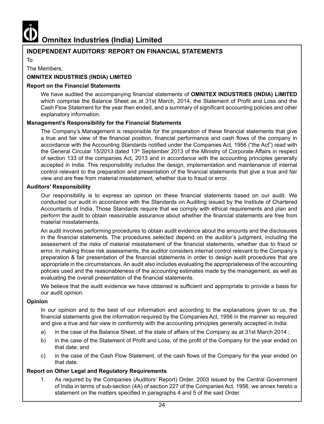

#### **INDEPENDENT AUDITORS' REPORT ON FINANCIAL STATEMENTS**

To

#### The Members,

#### **OMNITEX INDUSTRIES (INDIA) LIMITED**

#### **Report on the Financial Statements**

 We have audited the accompanying financial statements of **OMNITEX INDUSTRIES (INDIA) LIMITED** which comprise the Balance Sheet as at 31st March, 2014, the Statement of Profit and Loss and the Cash Flow Statement for the year then ended, and a summary of significant accounting policies and other explanatory information.

#### **Management's Responsibility for the Financial Statements**

The Company's Management is responsible for the preparation of these financial statements that give a true and fair view of the financial position, financial performance and cash flows of the company in accordance with the Accounting Standards notified under the Companies Act, 1956 ("the Act") read with the General Circular 15/2013 dated 13<sup>th</sup> September 2013 of the Ministry of Corporate Affairs in respect of section 133 of the companies Act, 2013 and in accordance with the accounting principles generally accepted in India. This responsibility includes the design, implementation and maintenance of internal control relevant to the preparation and presentation of the financial statements that give a true and fair view and are free from material misstatement, whether due to fraud or error.

#### **Auditors' Responsibility**

Our responsibility is to express an opinion on these financial statements based on our audit. We conducted our audit in accordance with the Standards on Auditing issued by the Institute of Chartered Accountants of India. Those Standards require that we comply with ethical requirements and plan and perform the audit to obtain reasonable assurance about whether the financial statements are free from material misstatements.

An audit involves performing procedures to obtain audit evidence about the amounts and the disclosures in the financial statements. The procedures selected depend on the auditor's judgment, including the assessment of the risks of material misstatement of the financial statements, whether due to fraud or error. In making those risk assessments, the auditor considers internal control relevant to the Company's preparation & fair presentation of the financial statements in order to design audit procedures that are appropriate in the circumstances. An audit also includes evaluating the appropriateness of the accounting policies used and the reasonableness of the accounting estimates made by the management, as well as evaluating the overall presentation of the financial statements.

 We believe that the audit evidence we have obtained is sufficient and appropriate to provide a basis for our audit opinion.

#### **Opinion**

In our opinion and to the best of our information and according to the explanations given to us, the financial statements give the information required by the Companies Act, 1956 in the manner so required and give a true and fair view in conformity with the accounting principles generally accepted in India:

- a) in the case of the Balance Sheet, of the state of affairs of the Company as at 31st March 2014 ;
- b) in the case of the Statement of Profit and Loss, of the profit of the Company for the year ended on that date; and
- c) in the case of the Cash Flow Statement, of the cash flows of the Company for the year ended on that date.

#### **Report on Other Legal and Regulatory Requirements**

1. As required by the Companies (Auditors' Report) Order, 2003 issued by the Central Government of India in terms of sub-section (4A) of section 227 of the Companies Act, 1956, we annex hereto a statement on the matters specified in paragraphs 4 and 5 of the said Order.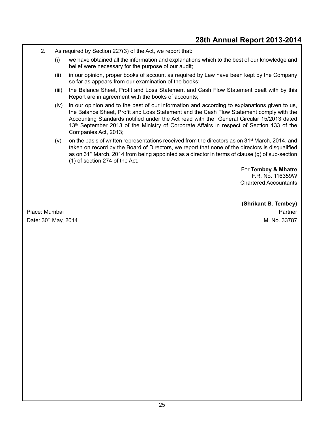- 2. As required by Section 227(3) of the Act, we report that:
	- (i) we have obtained all the information and explanations which to the best of our knowledge and belief were necessary for the purpose of our audit;
	- (ii) in our opinion, proper books of account as required by Law have been kept by the Company so far as appears from our examination of the books;
	- (iii) the Balance Sheet, Profit and Loss Statement and Cash Flow Statement dealt with by this Report are in agreement with the books of accounts;
	- (iv) in our opinion and to the best of our information and according to explanations given to us, the Balance Sheet, Profit and Loss Statement and the Cash Flow Statement comply with the Accounting Standards notified under the Act read with the General Circular 15/2013 dated 13<sup>th</sup> September 2013 of the Ministry of Corporate Affairs in respect of Section 133 of the Companies Act, 2013;
	- (v) on the basis of written representations received from the directors as on  $31<sup>st</sup>$  March, 2014, and taken on record by the Board of Directors, we report that none of the directors is disqualified as on 31st March, 2014 from being appointed as a director in terms of clause (g) of sub-section (1) of section 274 of the Act.

For **Tembey & Mhatre** F.R. No. 116359W Chartered Accountants

**(Shrikant B. Tembey)** Place: Mumbai Partner Date: 30<sup>th</sup> May, 2014 May, 2014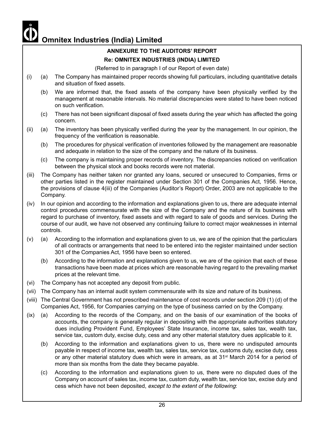### **ANNEXURE TO THE AUDITORS' REPORT**

#### **Re: OMNITEX INDUSTRIES (INDIA) LIMITED**

(Referred to in paragraph I of our Report of even date)

- (i) (a) The Company has maintained proper records showing full particulars, including quantitative details and situation of fixed assets.
	- (b) We are informed that, the fixed assets of the company have been physically verified by the management at reasonable intervals. No material discrepancies were stated to have been noticed on such verification.
	- (c) There has not been significant disposal of fixed assets during the year which has affected the going concern.
- (ii) (a) The inventory has been physically verified during the year by the management. In our opinion, the frequency of the verification is reasonable.
	- (b) The procedures for physical verification of inventories followed by the management are reasonable and adequate in relation to the size of the company and the nature of its business.
	- (c) The company is maintaining proper records of inventory. The discrepancies noticed on verification between the physical stock and books records were not material.
- (iii) The Company has neither taken nor granted any loans, secured or unsecured to Companies, firms or other parties listed in the register maintained under Section 301 of the Companies Act, 1956. Hence, the provisions of clause 4(iii) of the Companies (Auditor's Report) Order, 2003 are not applicable to the Company.
- (iv) In our opinion and according to the information and explanations given to us, there are adequate internal control procedures commensurate with the size of the Company and the nature of its business with regard to purchase of inventory, fixed assets and with regard to sale of goods and services. During the course of our audit, we have not observed any continuing failure to correct major weaknesses in internal controls.
- (v) (a) According to the information and explanations given to us, we are of the opinion that the particulars of all contracts or arrangements that need to be entered into the register maintained under section 301 of the Companies Act, 1956 have been so entered.
	- (b) According to the information and explanations given to us, we are of the opinion that each of these transactions have been made at prices which are reasonable having regard to the prevailing market prices at the relevant time.
- (vi) The Company has not accepted any deposit from public.
- (vii) The Company has an internal audit system commensurate with its size and nature of its business.
- (viii) The Central Government has not prescribed maintenance of cost records under section 209 (1) (d) of the Companies Act, 1956, for Companies carrying on the type of business carried on by the Company.
- (ix) (a) According to the records of the Company, and on the basis of our examination of the books of accounts, the company is generally regular in depositing with the appropriate authorities statutory dues including Provident Fund, Employees' State Insurance, income tax, sales tax, wealth tax, service tax, custom duty, excise duty, cess and any other material statutory dues applicable to it.
	- (b) According to the information and explanations given to us, there were no undisputed amounts payable in respect of income tax, wealth tax, sales tax, service tax, customs duty, excise duty, cess or any other material statutory dues which were in arrears, as at  $31<sup>st</sup>$  March 2014 for a period of more than six months from the date they became payable.
	- (c) According to the information and explanations given to us, there were no disputed dues of the Company on account of sales tax, income tax, custom duty, wealth tax, service tax, excise duty and cess which have not been deposited, *except to the extent of the following*: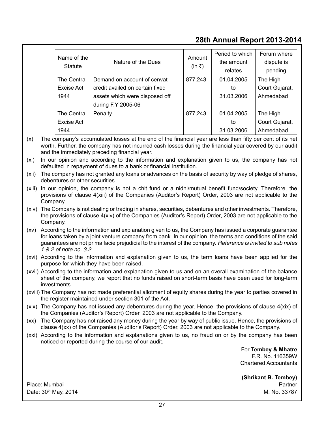| Name of the<br>Statute | Nature of the Dues              | Amount<br>(in ₹) | Period to which<br>the amount<br>relates | Forum where<br>dispute is<br>pending |
|------------------------|---------------------------------|------------------|------------------------------------------|--------------------------------------|
| The Central            | Demand on account of cenvat     | 877,243          | 01.04.2005                               | The High                             |
| Excise Act             | credit availed on certain fixed |                  | to                                       | Court Gujarat,                       |
| 1944                   | assets which were disposed off  |                  | 31.03.2006                               | Ahmedabad                            |
|                        | during F.Y 2005-06              |                  |                                          |                                      |
| The Central            | Penalty                         | 877.243          | 01.04.2005                               | The High                             |
| Excise Act             |                                 |                  | to                                       | Court Gujarat,                       |
| 1944                   |                                 |                  | 31.03.2006                               | Ahmedabad                            |

(x) The company's accumulated losses at the end of the financial year are less than fifty per cent of its net worth. Further, the company has not incurred cash losses during the financial year covered by our audit and the immediately preceding financial year.

(xi) In our opinion and according to the information and explanation given to us, the company has not defaulted in repayment of dues to a bank or financial institution.

(xii) The company has not granted any loans or advances on the basis of security by way of pledge of shares, debentures or other securities.

(xiii) In our opinion, the company is not a chit fund or a nidhi/mutual benefit fund/society. Therefore, the provisions of clause 4(xiii) of the Companies (Auditor's Report) Order, 2003 are not applicable to the Company.

(xiv) The Company is not dealing or trading in shares, securities, debentures and other investments. Therefore, the provisions of clause 4(xiv) of the Companies (Auditor's Report) Order, 2003 are not applicable to the Company.

(xv) According to the information and explanation given to us, the Company has issued a corporate guarantee for loans taken by a joint venture company from bank. In our opinion, the terms and conditions of the said guarantees are not prima facie prejudicial to the interest of the company. *Reference is invited to sub notes 1 & 2 of note no. 3.2*.

(xvi) According to the information and explanation given to us, the term loans have been applied for the purpose for which they have been raised.

(xvii) According to the information and explanation given to us and on an overall examination of the balance sheet of the company, we report that no funds raised on short-term basis have been used for long-term investments.

- (xviii) The Company has not made preferential allotment of equity shares during the year to parties covered in the register maintained under section 301 of the Act.
- (xix) The Company has not issued any debentures during the year. Hence, the provisions of clause 4(xix) of the Companies (Auditor's Report) Order, 2003 are not applicable to the Company.
- (xx) The Company has not raised any money during the year by way of public issue. Hence, the provisions of clause 4(xx) of the Companies (Auditor's Report) Order, 2003 are not applicable to the Company.
- (xxi) According to the information and explanations given to us, no fraud on or by the company has been noticed or reported during the course of our audit.

For **Tembey & Mhatre** F.R. No. 116359W Chartered Accountants

**(Shrikant B. Tembey)** Place: Mumbai Partner Partner Partner Partner Partner Partner Partner Partner Partner Partner Partner Partner Date: 30<sup>th</sup> May, 2014 May, 2014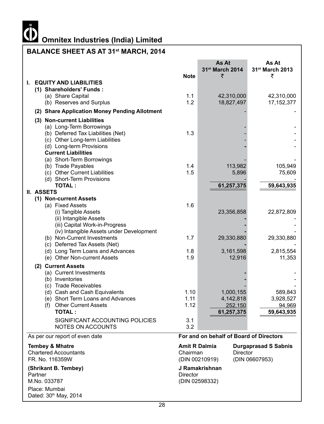# **Omnitex Industries (India) Limited**<br> **COMPUTER IN SCIENCE AND POST**

## **BALANCE SHEET AS AT 31st MARCH, 2014**

|                                                                         |                 | As At<br>31st March 2014                | As At<br>31st March 2013    |
|-------------------------------------------------------------------------|-----------------|-----------------------------------------|-----------------------------|
|                                                                         | <b>Note</b>     | ₹                                       | ₹                           |
| <b>EQUITY AND LIABILITIES</b><br>L.                                     |                 |                                         |                             |
| (1) Shareholders' Funds:                                                | 1.1             | 42,310,000                              |                             |
| (a) Share Capital<br>(b) Reserves and Surplus                           | 1.2             | 18,827,497                              | 42,310,000<br>17, 152, 377  |
|                                                                         |                 |                                         |                             |
| (2) Share Application Money Pending Allotment                           |                 |                                         |                             |
| (3) Non-current Liabilities                                             |                 |                                         |                             |
| (a) Long-Term Borrowings<br>(b) Deferred Tax Liabilities (Net)          | 1.3             |                                         |                             |
| (c) Other Long-term Liabilities                                         |                 |                                         |                             |
| (d) Long-term Provisions                                                |                 |                                         |                             |
| <b>Current Liabilities</b>                                              |                 |                                         |                             |
| (a) Short-Term Borrowings                                               |                 |                                         |                             |
| (b) Trade Payables                                                      | 1.4             | 113,982                                 | 105,949                     |
| (c) Other Current Liabilities                                           | 1.5             | 5,896                                   | 75,609                      |
| (d) Short-Term Provisions<br><b>TOTAL:</b>                              |                 | 61,257,375                              | 59,643,935                  |
| II. ASSETS                                                              |                 |                                         |                             |
| (1) Non-current Assets                                                  |                 |                                         |                             |
| (a) Fixed Assets                                                        | 1.6             |                                         |                             |
| (i) Tangible Assets                                                     |                 | 23,356,858                              | 22,872,809                  |
| (ii) Intangible Assets                                                  |                 |                                         |                             |
| (iii) Capital Work-in-Progress                                          |                 |                                         |                             |
| (iv) Intangible Assets under Development<br>(b) Non-Current Investments | 1.7             | 29,330,880                              | 29,330,880                  |
| (c) Deferred Tax Assets (Net)                                           |                 |                                         |                             |
| (d) Long Term Loans and Advances                                        | 1.8             | 3,161,598                               | 2,815,554                   |
| (e) Other Non-current Assets                                            | 1.9             | 12,916                                  | 11,353                      |
| (2) Current Assets                                                      |                 |                                         |                             |
| (a) Current Investments                                                 |                 |                                         |                             |
| (b) Inventories                                                         |                 |                                         |                             |
| (c) Trade Receivables                                                   |                 |                                         |                             |
| (d) Cash and Cash Equivalents                                           | 1.10<br>1.11    | 1,000,155                               | 589,843                     |
| (e) Short Term Loans and Advances<br>(f) Other Current Assets           | 1.12            | 4,142,818<br>252,150                    | 3,928,527<br>94,969         |
| <b>TOTAL:</b>                                                           |                 | 61,257,375                              | 59,643,935                  |
| SIGNIFICANT ACCOUNTING POLICIES                                         | 3.1             |                                         |                             |
| <b>NOTES ON ACCOUNTS</b>                                                | 3.2             |                                         |                             |
| As per our report of even date                                          |                 | For and on behalf of Board of Directors |                             |
| <b>Tembey &amp; Mhatre</b>                                              |                 | Amit R Dalmia                           | <b>Durgaprasad S Sabnis</b> |
| <b>Chartered Accountants</b>                                            | Chairman        | <b>Director</b>                         |                             |
| FR. No. 116359W                                                         |                 | (DIN 00210919)                          | (DIN 06607953)              |
| (Shrikant B. Tembey)                                                    |                 | J Ramakrishnan                          |                             |
| Partner                                                                 | <b>Director</b> |                                         |                             |
| M.No. 033787                                                            |                 | (DIN 02598332)                          |                             |
| Place: Mumbai<br>Dated: 30th May, 2014                                  |                 |                                         |                             |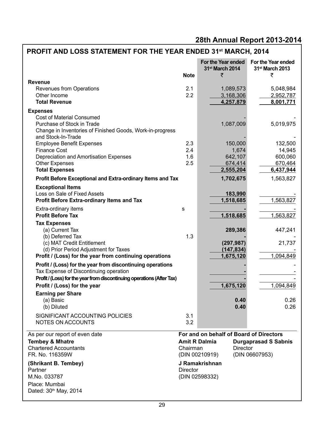## **PROFIT AND LOSS STATEMENT FOR THE YEAR ENDED 31st MARCH, 2014**

|                                                                        | <b>Note</b> | For the Year ended<br>31 <sup>st</sup> March 2014<br>₹ | For the Year ended<br>31st March 2013<br>₹ |
|------------------------------------------------------------------------|-------------|--------------------------------------------------------|--------------------------------------------|
| <b>Revenue</b>                                                         |             |                                                        |                                            |
| Revenues from Operations                                               | 2.1         | 1,089,573                                              | 5,048,984                                  |
| Other Income                                                           | 2.2         | 3,168,306                                              | 2,952,787                                  |
| <b>Total Revenue</b>                                                   |             | 4,257,879                                              | 8,001,771                                  |
| <b>Expenses</b>                                                        |             |                                                        |                                            |
| <b>Cost of Material Consumed</b>                                       |             |                                                        |                                            |
| Purchase of Stock in Trade                                             |             | 1,087,009                                              | 5,019,975                                  |
| Change in Inventories of Finished Goods, Work-in-progress              |             |                                                        |                                            |
| and Stock-In-Trade                                                     |             |                                                        |                                            |
| <b>Employee Benefit Expenses</b>                                       | 2.3<br>2.4  | 150,000<br>1,674                                       | 132,500                                    |
| <b>Finance Cost</b><br>Depreciation and Amortisation Expenses          | 1.6         | 642,107                                                | 14,945<br>600,060                          |
| <b>Other Expenses</b>                                                  | 2.5         | 674,414                                                | 670,464                                    |
| <b>Total Expenses</b>                                                  |             | 2,555,204                                              | 6,437,944                                  |
| Profit Before Exceptional and Extra-ordinary Items and Tax             |             | 1,702,675                                              | 1,563,827                                  |
|                                                                        |             |                                                        |                                            |
| <b>Exceptional Items</b><br>Loss on Sale of Fixed Assets               |             | 183,990                                                |                                            |
| <b>Profit Before Extra-ordinary Items and Tax</b>                      |             | 1,518,685                                              | 1,563,827                                  |
|                                                                        |             |                                                        |                                            |
| Extra-ordinary items<br><b>Profit Before Tax</b>                       | s           | 1,518,685                                              | 1,563,827                                  |
| <b>Tax Expenses</b>                                                    |             |                                                        |                                            |
| (a) Current Tax                                                        |             | 289,386                                                | 447,241                                    |
| (b) Deferred Tax                                                       | 1.3         |                                                        |                                            |
| (c) MAT Credit Entitlement                                             |             | (297, 987)                                             | 21,737                                     |
| (d) Prior Period Adjustment for Taxes                                  |             | (147, 834)                                             |                                            |
| Profit / (Loss) for the year from continuing operations                |             | 1,675,120                                              | 1,094,849                                  |
| Profit / (Loss) for the year from discontinuing operations             |             |                                                        |                                            |
| Tax Expense of Discontinuing operation                                 |             |                                                        |                                            |
| Profit / (Loss) for the year from discontinuing operations (After Tax) |             |                                                        |                                            |
| Profit / (Loss) for the year                                           |             | 1,675,120                                              | 1,094,849                                  |
| <b>Earning per Share</b>                                               |             |                                                        |                                            |
| (a) Basic                                                              |             | 0.40                                                   | 0.26                                       |
| (b) Diluted                                                            |             | 0.40                                                   | 0.26                                       |
| SIGNIFICANT ACCOUNTING POLICIES                                        | 3.1         |                                                        |                                            |
| NOTES ON ACCOUNTS                                                      | 3.2         |                                                        |                                            |
| As per our report of even date                                         |             | For and on behalf of Board of Directors                |                                            |
| <b>Tembey &amp; Mhatre</b>                                             |             | <b>Amit R Dalmia</b>                                   | <b>Durgaprasad S Sabnis</b>                |
| <b>Chartered Accountants</b>                                           | Chairman    | <b>Director</b>                                        |                                            |
| FR. No. 116359W                                                        |             | (DIN 00210919)                                         | (DIN 06607953)                             |
| (Shrikant B. Tembey)                                                   |             | J Ramakrishnan                                         |                                            |
| Partner                                                                | Director    |                                                        |                                            |
| M.No. 033787                                                           |             | (DIN 02598332)                                         |                                            |
| Place: Mumbai                                                          |             |                                                        |                                            |
| Dated: 30th May, 2014                                                  |             |                                                        |                                            |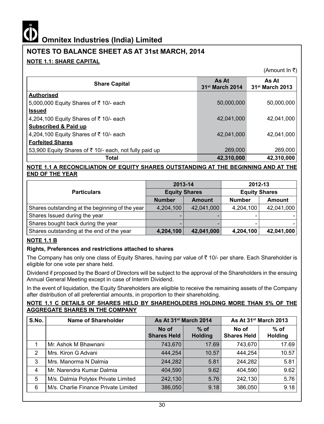### **NOTES TO BALANCE SHEET AS AT 31st MARCH, 2014**

#### **NOTE 1.1: SHARE CAPITAL**

(Amount In  $\bar{z}$ )

| <b>Share Capital</b>                                   | As At<br>31 <sup>st</sup> March 2014 | As At<br>31 <sup>st</sup> March 2013 |
|--------------------------------------------------------|--------------------------------------|--------------------------------------|
| <b>Authorised</b>                                      |                                      |                                      |
| 5,000,000 Equity Shares of ₹10/- each                  | 50,000,000                           | 50,000,000                           |
| <b>Issued</b>                                          |                                      |                                      |
| 4,204,100 Equity Shares of ₹10/- each                  | 42.041.000                           | 42,041,000                           |
| <b>Subscribed &amp; Paid up</b>                        |                                      |                                      |
| 4,204,100 Equity Shares of ₹10/- each                  | 42.041.000                           | 42.041.000                           |
| <b>Forfeited Shares</b>                                |                                      |                                      |
| 53,900 Equity Shares of ₹ 10/- each, not fully paid up | 269,000                              | 269,000                              |
| Total                                                  | 42,310,000                           | 42,310,000                           |

#### **NOTE 1.1 A RECONCILIATION OF EQUITY SHARES OUTSTANDING AT THE BEGINNING AND AT THE END OF THE YEAR**

|                                                 | 2013-14              |               | 2012-13              |               |  |
|-------------------------------------------------|----------------------|---------------|----------------------|---------------|--|
| <b>Particulars</b>                              | <b>Equity Shares</b> |               | <b>Equity Shares</b> |               |  |
|                                                 | <b>Number</b>        | <b>Amount</b> | <b>Number</b>        | <b>Amount</b> |  |
| Shares outstanding at the beginning of the year | 4,204,100            | 42,041,000    | 4,204,100            | 42,041,000    |  |
| Shares Issued during the year                   | $\qquad \qquad$      |               |                      |               |  |
| Shares bought back during the year              | -                    |               |                      |               |  |
| Shares outstanding at the end of the year       | 4,204,100            | 42,041,000    | 4,204,100            | 42,041,000    |  |

#### **NOTE 1.1 B**

#### **Rights, Preferences and restrictions attached to shares**

The Company has only one class of Equity Shares, having par value of  $\bar{\tau}$  10/- per share. Each Shareholder is eligible for one vote per share held.

Dividend if proposed by the Board of Directors will be subject to the approval of the Shareholders in the ensuing Annual General Meeting except in case of Interim Dividend.

In the event of liquidation, the Equity Shareholders are eligible to receive the remaining assets of the Company after distribution of all preferential amounts, in proportion to their shareholding.

#### **NOTE 1.1 C DETAILS OF SHARES HELD BY SHAREHOLDERS HOLDING MORE THAN 5% OF THE AGGREGATE SHARES IN THE COMPANY**

| S.No. | Name of Shareholder                  | As At 31 <sup>st</sup> March 2014 |                          | As At 31 <sup>st</sup> March 2013 |                          |
|-------|--------------------------------------|-----------------------------------|--------------------------|-----------------------------------|--------------------------|
|       |                                      | No of<br><b>Shares Held</b>       | $%$ of<br><b>Holding</b> | No of<br><b>Shares Held</b>       | $%$ of<br><b>Holding</b> |
|       | Mr. Ashok M Bhawnani                 | 743,670                           | 17.69                    | 743,670                           | 17.69                    |
| 2     | Mrs. Kiron G Advani                  | 444,254                           | 10.57                    | 444.254                           | 10.57                    |
| 3     | Mrs. Manorma N Dalmia                | 244,282                           | 5.81                     | 244.282                           | 5.81                     |
| 4     | Mr. Narendra Kumar Dalmia            | 404,590                           | 9.62                     | 404.590                           | 9.62                     |
| 5     | M/s. Dalmia Polytex Private Limited  | 242,130                           | 5.76                     | 242,130                           | 5.76                     |
| 6     | M/s. Charlie Finance Private Limited | 386,050                           | 9.18                     | 386,050                           | 9.18                     |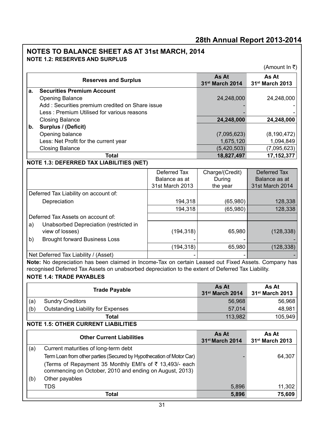#### **NOTE 1.2: RESERVES AND SURPLUS NOTES TO BALANCE SHEET AS AT 31st MARCH, 2014**

(Amount  $\ln \overline{\tau}$ ) **Reserves and Surplus As At** <br> **As At Measurer As At After As At Assets 31st March 2014 As At 31st March 2013 a. Securities Premium Account** Opening Balance 24,248,000 24,248,000 Add : Securities premium credited on Share issue Less : Premium Utilised for various reasons Closing Balance **24,248,000 24,248,000 b. Surplus / (Deficit)** Opening balance (7,095,623) (8,190,472) Less: Net Profit for the current year 1,094,849 1,094,849 Closing Balance (5,420,503) (7,095,623) **Total 18,827,497 17,152,377 NOTE 1.3: DEFERRED TAX LIABILITIES (NET)** Deferred Tax Balance as at 31st March 2013 Charge/(Credit) During the year Deferred Tax Balance as at 31st March 2014 Deferred Tax Liability on account of: Depreciation 194,318 (65,980) 128,338 194,318 (65,980) 128,338 Deferred Tax Assets on account of: a) Unabsorbed Depreciation (restricted in view of losses) (194,318) 65,980 (128,338) b) Brought forward Business Loss  $(194.318)$  65.980 (128.338) Net Deferred Tax Liability / (Asset) **Note:** No depreciation has been claimed in Income-Tax on certain Leased out Fixed Assets. Company has

recognised Deferred Tax Assets on unabsorbed depreciation to the extent of Deferred Tax Liability.

#### **NOTE 1.4: TRADE PAYABLES**

|     | <b>Trade Payable</b>               | As At<br>$31$ <sup>st</sup> March 2014 | As At<br>$31$ <sup>st</sup> March 2013 |
|-----|------------------------------------|----------------------------------------|----------------------------------------|
| (a) | <b>Sundry Creditors</b>            | 56.968                                 | 56,968                                 |
| (b) | Outstanding Liability for Expenses | 57.014                                 | 48,981                                 |
|     | Total                              | 113.982                                | 105,949                                |

#### **NOTE 1.5: OTHER CURRENT LIABILITIES**

|     | <b>Other Current Liabilities</b>                                                                                   | As At<br>31 <sup>st</sup> March 2014 | As At<br>31 <sup>st</sup> March 2013 |
|-----|--------------------------------------------------------------------------------------------------------------------|--------------------------------------|--------------------------------------|
| (a) | Current maturities of long-term debt                                                                               |                                      |                                      |
|     | Term Loan from other parties (Secured by Hypothecation of Motor Car)                                               |                                      | 64,307                               |
|     | (Terms of Repayment 35 Monthly EMI's of ₹ 13,493/- each<br>commencing on October, 2010 and ending on August, 2013) |                                      |                                      |
| (b) | Other payables                                                                                                     |                                      |                                      |
|     | TDS                                                                                                                | 5,896                                | 11,302                               |
|     | Total                                                                                                              | 5,896                                | 75,609                               |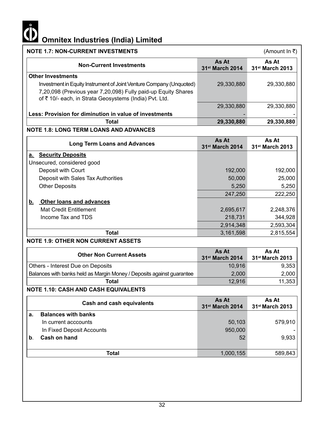

| <b>NOTE 1.7: NON-CURRENT INVESTMENTS</b>                                                                                                                                                       |                                      | (Amount In ₹)                        |
|------------------------------------------------------------------------------------------------------------------------------------------------------------------------------------------------|--------------------------------------|--------------------------------------|
| <b>Non-Current Investments</b>                                                                                                                                                                 | As At<br>31 <sup>st</sup> March 2014 | As At<br>31 <sup>st</sup> March 2013 |
| <b>Other Investments</b>                                                                                                                                                                       |                                      |                                      |
| Investment in Equity Instrument of Joint Venture Company (Unquoted)<br>7,20,098 (Previous year 7,20,098) Fully paid-up Equity Shares<br>of ₹ 10/- each, in Strata Geosystems (India) Pvt. Ltd. | 29,330,880                           | 29,330,880                           |
|                                                                                                                                                                                                | 29,330,880                           | 29,330,880                           |
| Less: Provision for diminution in value of investments                                                                                                                                         |                                      |                                      |
| <b>Total</b>                                                                                                                                                                                   | 29,330,880                           | 29,330,880                           |
| <b>NOTE 1.8: LONG TERM LOANS AND ADVANCES</b>                                                                                                                                                  |                                      |                                      |
| <b>Long Term Loans and Advances</b>                                                                                                                                                            | As At<br>31 <sup>st</sup> March 2014 | As At<br>31 <sup>st</sup> March 2013 |
| a. Security Deposits                                                                                                                                                                           |                                      |                                      |
| Unsecured, considered good                                                                                                                                                                     |                                      |                                      |
| Deposit with Court                                                                                                                                                                             | 192,000                              | 192,000                              |
| Deposit with Sales Tax Authorities                                                                                                                                                             | 50,000                               | 25,000                               |
| <b>Other Deposits</b>                                                                                                                                                                          | 5,250                                | 5,250                                |
|                                                                                                                                                                                                | 247,250                              | 222,250                              |
| <b>Other loans and advances</b><br><u>b.</u>                                                                                                                                                   |                                      |                                      |
| <b>Mat Credit Entitlement</b>                                                                                                                                                                  | 2,695,617                            | 2,248,376                            |
| Income Tax and TDS                                                                                                                                                                             | 218,731                              | 344,928                              |
|                                                                                                                                                                                                | 2,914,348                            | 2,593,304                            |
| <b>Total</b>                                                                                                                                                                                   | 3,161,598                            | 2,815,554                            |
| <b>NOTE 1.9: OTHER NON CURRENT ASSETS</b>                                                                                                                                                      |                                      |                                      |
| <b>Other Non Current Assets</b>                                                                                                                                                                | As At<br>31 <sup>st</sup> March 2014 | As At<br>31 <sup>st</sup> March 2013 |
| Others - Interest Due on Deposits                                                                                                                                                              | 10,916                               | 9,353                                |
| Balances with banks held as Margin Money / Deposits against guarantee                                                                                                                          | 2,000                                | 2,000                                |
| <b>Total</b>                                                                                                                                                                                   | 12,916                               | 11,353                               |
| <b>NOTE 1.10: CASH AND CASH EQUIVALENTS</b>                                                                                                                                                    |                                      |                                      |
| <b>Cash and cash equivalents</b>                                                                                                                                                               | As At<br>31 <sup>st</sup> March 2014 | As At<br>31 <sup>st</sup> March 2013 |
| <b>Balances with banks</b><br>a.                                                                                                                                                               |                                      |                                      |
| In current acccounts                                                                                                                                                                           | 50,103                               | 579,910                              |
| In Fixed Deposit Accounts                                                                                                                                                                      | 950,000                              |                                      |
| Cash on hand<br>b.                                                                                                                                                                             | 52                                   | 9,933                                |

**Total** 1,000,155 589,843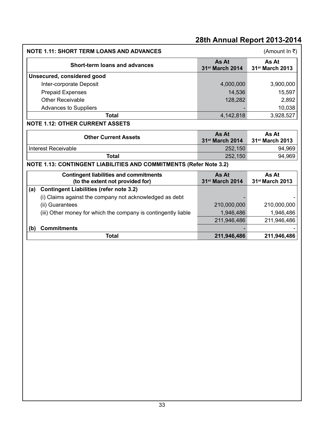| <b>NOTE 1.11: SHORT TERM LOANS AND ADVANCES</b>                                   |                                      | (Amount In ₹)                        |
|-----------------------------------------------------------------------------------|--------------------------------------|--------------------------------------|
| <b>Short-term loans and advances</b>                                              | As At<br>31 <sup>st</sup> March 2014 | As At<br>31st March 2013             |
| Unsecured, considered good                                                        |                                      |                                      |
| Inter-corporate Deposit                                                           | 4,000,000                            | 3,900,000                            |
| <b>Prepaid Expenses</b>                                                           | 14,536                               | 15,597                               |
| Other Receivable                                                                  | 128,282                              | 2,892                                |
| Advances to Suppliers                                                             |                                      | 10,038                               |
| <b>Total</b>                                                                      | 4,142,818                            | 3,928,527                            |
| <b>NOTE 1.12: OTHER CURRENT ASSETS</b>                                            |                                      |                                      |
| <b>Other Current Assets</b>                                                       | As At<br>31 <sup>st</sup> March 2014 | As At<br>31 <sup>st</sup> March 2013 |
| Interest Receivable                                                               | 252,150                              | 94,969                               |
| <b>Total</b>                                                                      | 252,150                              | 94,969                               |
| <b>NOTE 1.13: CONTINGENT LIABILITIES AND COMMITMENTS (Refer Note 3.2)</b>         |                                      |                                      |
| <b>Contingent liabilities and commitments</b><br>(to the extent not provided for) | As At<br>31 <sup>st</sup> March 2014 | As At<br>31 <sup>st</sup> March 2013 |
| <b>Contingent Liabilities (refer note 3.2)</b><br>(a)                             |                                      |                                      |
| (i) Claims against the company not acknowledged as debt                           |                                      |                                      |
| (ii) Guarantees                                                                   | 210,000,000                          | 210,000,000                          |
| (iii) Other money for which the company is contingently liable                    | 1,946,486                            | 1,946,486                            |
|                                                                                   | 211,946,486                          | 211,946,486                          |
| <b>Commitments</b><br>(b)                                                         |                                      |                                      |
| <b>Total</b>                                                                      | 211,946,486                          | 211,946,486                          |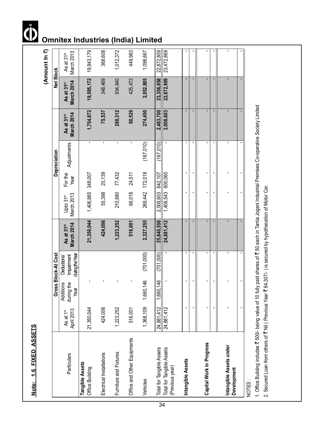|                                              |                                     |                                 | Gross Block-At Cost                                |                                             |                                     |                 | Depreciation   |                                      | Net Block                            |                                      |
|----------------------------------------------|-------------------------------------|---------------------------------|----------------------------------------------------|---------------------------------------------|-------------------------------------|-----------------|----------------|--------------------------------------|--------------------------------------|--------------------------------------|
| Particulars                                  | April 2013<br>As at 1 <sup>st</sup> | during the<br>Additions<br>Year | during the Year<br>Impairment<br><b>Deductions</b> | <b>March 2014</b><br>As at 31 <sup>st</sup> | March 2013<br>Upto 31 <sup>st</sup> | For the<br>Year | Adjustments    | March 2014<br>As at 31 <sup>st</sup> | March 2014<br>As at 31 <sup>st</sup> | March 2013<br>As at 31 <sup>st</sup> |
| Tangible Assets<br>Office Building           | 21,350,044                          |                                 |                                                    | 21,350,044                                  | 1,406,865                           | 348,007         | $\mathbf{I}$   | 1,754,872                            | 19,595,172                           | 19,943,179                           |
| Electrical Installations                     | 424,006                             |                                 |                                                    | 424,006                                     | 55,398                              | 20,139          | $\blacksquare$ | 75,537                               | 348,469                              | 368,608                              |
| Furniture and Fixtures                       | 1,223,252                           |                                 |                                                    | 1,223,252                                   | 210,880                             | 77,432          | $\mathbf{I}$   | 288,312                              | 934,940                              | 1,012,372                            |
| Office and Other Equipments                  | 516,001                             |                                 |                                                    | 516,001                                     | 66,018                              | 24,511          | J.             | 90,529                               | 425,472                              | 449,983                              |
| Vehicles                                     | 1,368,109                           | 1,660,146                       | (701,000)                                          | 2,327,255                                   | 269,442                             | 172,018         | (167,010)      | 274,450                              | 2,052,805                            | 1,098,667                            |
| Total for Tangible Assets                    | 24,881,412                          | 1,660,146                       | (701,000)                                          | 25,840,558                                  | 2,008,603                           | 642,107         | (167,010)      | 2,483,700                            | 23,356,858                           | 22,872,809                           |
| Total for Tangible Assets<br>(Previous year) | 24,881,412                          |                                 |                                                    | 24,881,412                                  | 1,408,543                           | 600,060         |                | 2,008,603                            | 22,872,809                           | 23,472,869                           |
| Intangible Assets                            | $\blacksquare$                      | ٠                               | $\mathbf{I}$                                       | $\blacksquare$                              | $\blacksquare$                      | $\blacksquare$  | $\blacksquare$ | $\blacksquare$                       | $\blacksquare$                       |                                      |
|                                              |                                     | $\blacksquare$                  | ٠                                                  | $\blacksquare$                              | ٠                                   | ٠               | $\blacksquare$ | $\mathbf{I}$                         | ٠                                    |                                      |
| Capital Work in Progress                     |                                     |                                 |                                                    | $\blacksquare$                              |                                     |                 |                |                                      |                                      |                                      |
|                                              |                                     | $\blacksquare$                  | ٠                                                  |                                             |                                     | ٠               | $\blacksquare$ | $\mathbf{I}$                         |                                      |                                      |
| Intangible Assets under<br>Development       |                                     |                                 | ٠                                                  |                                             |                                     |                 | ٠              |                                      |                                      |                                      |
|                                              |                                     | $\blacksquare$                  | $\blacksquare$                                     |                                             | J.                                  | $\blacksquare$  | $\blacksquare$ |                                      |                                      |                                      |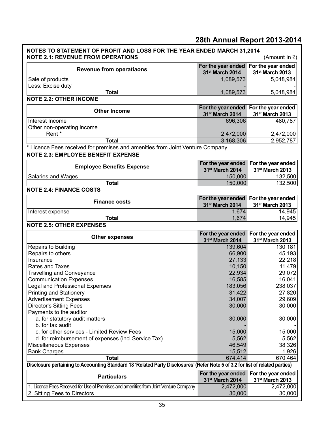| NOTES TO STATEMENT OF PROFIT AND LOSS FOR THE YEAR ENDED MARCH 31,2014<br><b>NOTE 2.1: REVENUE FROM OPERATIONS</b>                                  |                              | (Amount In ₹)                                                        |  |  |  |
|-----------------------------------------------------------------------------------------------------------------------------------------------------|------------------------------|----------------------------------------------------------------------|--|--|--|
| <b>Revenue from operatiaons</b>                                                                                                                     | 31st March 2014              | For the year ended For the year ended<br>31st March 2013             |  |  |  |
| Sale of products<br>Less: Excise duty                                                                                                               | 1,089,573                    | 5,048,984                                                            |  |  |  |
| <b>Total</b>                                                                                                                                        | 1,089,573                    | 5,048,984                                                            |  |  |  |
| <b>NOTE 2.2: OTHER INCOME</b>                                                                                                                       |                              |                                                                      |  |  |  |
| <b>Other Income</b>                                                                                                                                 | 31 <sup>st</sup> March 2014  | For the year ended For the year ended<br>31 <sup>st</sup> March 2013 |  |  |  |
| Interest Income<br>Other non-operating income                                                                                                       | 696,306                      | 480,787                                                              |  |  |  |
| Rent*                                                                                                                                               | 2,472,000                    | 2,472,000                                                            |  |  |  |
| <b>Total</b>                                                                                                                                        | 3,168,306                    | 2,952,787                                                            |  |  |  |
| * Licence Fees received for premises and amenities from Joint Venture Company<br><b>NOTE 2.3: EMPLOYEE BENEFIT EXPENSE</b>                          |                              |                                                                      |  |  |  |
| <b>Employee Benefits Expense</b>                                                                                                                    | 31 <sup>st</sup> March 2014  | For the year ended For the year ended<br>31 <sup>st</sup> March 2013 |  |  |  |
| Salaries and Wages                                                                                                                                  | 150,000                      | 132,500                                                              |  |  |  |
| <b>Total</b>                                                                                                                                        | 150,000                      | 132,500                                                              |  |  |  |
| <b>NOTE 2.4: FINANCE COSTS</b>                                                                                                                      |                              |                                                                      |  |  |  |
| <b>Finance costs</b>                                                                                                                                | 31st March 2014              | For the year ended For the year ended<br>31st March 2013             |  |  |  |
| Interest expense                                                                                                                                    | 1,674                        | 14,945                                                               |  |  |  |
| <b>Total</b>                                                                                                                                        | 1,674                        | 14,945                                                               |  |  |  |
| <b>NOTE 2.5: OTHER EXPENSES</b>                                                                                                                     |                              |                                                                      |  |  |  |
|                                                                                                                                                     |                              | For the year ended For the year ended                                |  |  |  |
| <b>Other expenses</b>                                                                                                                               | 31st March 2014              | 31st March 2013                                                      |  |  |  |
| Repairs to Building                                                                                                                                 | 139,604                      | 130,181                                                              |  |  |  |
| Repairs to others                                                                                                                                   | 66,900                       | 45,193                                                               |  |  |  |
| Insurance                                                                                                                                           | 27,133                       | 22,218                                                               |  |  |  |
| Rates and Taxes                                                                                                                                     | 10,150                       | 11,479                                                               |  |  |  |
| <b>Travelling and Conveyance</b>                                                                                                                    | 22,934                       | 29,072                                                               |  |  |  |
| <b>Communication Expenses</b>                                                                                                                       | 16,585                       | 16,041                                                               |  |  |  |
| Legal and Professional Expenses                                                                                                                     | 183,056                      | 238,037                                                              |  |  |  |
| <b>Printing and Stationery</b>                                                                                                                      | 31,422<br>34,007             | 27,820<br>29,609                                                     |  |  |  |
| <b>Advertisement Expenses</b><br><b>Director's Sitting Fees</b>                                                                                     | 30,000                       | 30,000                                                               |  |  |  |
| Payments to the auditor                                                                                                                             |                              |                                                                      |  |  |  |
| a. for statutory audit matters                                                                                                                      | 30,000                       | 30,000                                                               |  |  |  |
| b. for tax audit                                                                                                                                    |                              |                                                                      |  |  |  |
| c. for other services - Limited Review Fees                                                                                                         | 15,000                       | 15,000                                                               |  |  |  |
| d. for reimbursement of expenses (incl Service Tax)                                                                                                 | 5,562                        | 5,562                                                                |  |  |  |
| Miscellaneous Expenses                                                                                                                              | 46,549                       | 38,326                                                               |  |  |  |
| <b>Bank Charges</b>                                                                                                                                 | 15,512                       | 1,926                                                                |  |  |  |
| <b>Total</b>                                                                                                                                        |                              | 670,464                                                              |  |  |  |
| 674,414                                                                                                                                             |                              |                                                                      |  |  |  |
|                                                                                                                                                     |                              |                                                                      |  |  |  |
| Disclosure pertaining to Accounting Standard 18 'Related Party Disclosures' (Refer Note 5 of 3.2 for list of related parties)<br><b>Particulars</b> |                              | For the year ended For the year ended                                |  |  |  |
| 1. Licence Fees Received for Use of Premises and amenities from Joint Venture Company                                                               | 31st March 2014<br>2,472,000 | 31st March 2013<br>2,472,000                                         |  |  |  |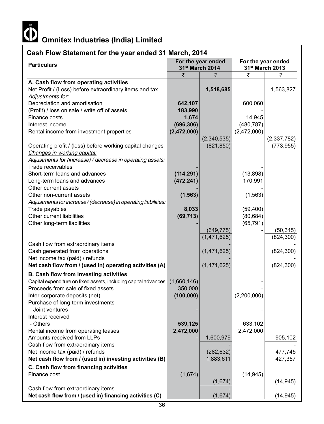

## **Cash Flow Statement for the year ended 31 March, 2014**

| " "Calonioni ivi" ino your                                      | For the year ended |                             |                                       |             |  |
|-----------------------------------------------------------------|--------------------|-----------------------------|---------------------------------------|-------------|--|
| <b>Particulars</b>                                              |                    | 31 <sup>st</sup> March 2014 | For the year ended<br>31st March 2013 |             |  |
|                                                                 | ₹                  | ₹                           | ₹                                     | ₹           |  |
| A. Cash flow from operating activities                          |                    |                             |                                       |             |  |
| Net Profit / (Loss) before extraordinary items and tax          |                    | 1,518,685                   |                                       | 1,563,827   |  |
| Adjustments for:                                                |                    |                             |                                       |             |  |
| Depreciation and amortisation                                   | 642,107            |                             | 600,060                               |             |  |
| (Profit) / loss on sale / write off of assets                   | 183,990            |                             |                                       |             |  |
| Finance costs                                                   | 1,674              |                             | 14,945                                |             |  |
| Interest income                                                 | (696, 306)         |                             | (480, 787)                            |             |  |
| Rental income from investment properties                        | (2,472,000)        |                             | (2,472,000)                           |             |  |
|                                                                 |                    | (2,340,535)                 |                                       | (2,337,782) |  |
| Operating profit / (loss) before working capital changes        |                    | (821, 850)                  |                                       | (773, 955)  |  |
| Changes in working capital:                                     |                    |                             |                                       |             |  |
| Adjustments for (increase) / decrease in operating assets:      |                    |                             |                                       |             |  |
| Trade receivables                                               |                    |                             |                                       |             |  |
| Short-term loans and advances                                   |                    |                             |                                       |             |  |
|                                                                 | (114, 291)         |                             | (13, 898)                             |             |  |
| Long-term loans and advances                                    | (472, 241)         |                             | 170,991                               |             |  |
| Other current assets                                            |                    |                             |                                       |             |  |
| Other non-current assets                                        | (1, 563)           |                             | (1, 563)                              |             |  |
| Adjustments for increase/(decrease) in operating liabilities:   |                    |                             |                                       |             |  |
| Trade payables                                                  | 8,033              |                             | (59, 400)                             |             |  |
| Other current liabilities                                       | (69, 713)          |                             | (80, 684)                             |             |  |
| Other long-term liabilities                                     |                    |                             | (65, 791)                             |             |  |
|                                                                 |                    | (649, 775)                  |                                       | (50, 345)   |  |
|                                                                 |                    | (1,471,625)                 |                                       | (824, 300)  |  |
| Cash flow from extraordinary items                              |                    |                             |                                       |             |  |
| Cash generated from operations                                  |                    | (1,471,625)                 |                                       | (824, 300)  |  |
| Net income tax (paid) / refunds                                 |                    |                             |                                       |             |  |
| Net cash flow from / (used in) operating activities (A)         |                    | (1,471,625)                 |                                       | (824, 300)  |  |
| B. Cash flow from investing activities                          |                    |                             |                                       |             |  |
| Capital expenditure on fixed assets, including capital advances | (1,660,146)        |                             |                                       |             |  |
| Proceeds from sale of fixed assets                              | 350,000            |                             |                                       |             |  |
| Inter-corporate deposits (net)                                  | (100, 000)         |                             | (2,200,000)                           |             |  |
| Purchase of long-term investments                               |                    |                             |                                       |             |  |
| - Joint ventures                                                |                    |                             |                                       |             |  |
|                                                                 |                    |                             |                                       |             |  |
| Interest received                                               |                    |                             |                                       |             |  |
| - Others                                                        | 539,125            |                             | 633,102                               |             |  |
| Rental income from operating leases                             | 2,472,000          |                             | 2,472,000                             |             |  |
| Amounts received from LLPs                                      |                    | 1,600,979                   |                                       | 905,102     |  |
| Cash flow from extraordinary items                              |                    |                             |                                       |             |  |
| Net income tax (paid) / refunds                                 |                    | (282, 632)                  |                                       | 477,745     |  |
| Net cash flow from / (used in) investing activities (B)         |                    | 1,883,611                   |                                       | 427,357     |  |
| C. Cash flow from financing activities                          |                    |                             |                                       |             |  |
| Finance cost                                                    | (1,674)            |                             | (14, 945)                             |             |  |
|                                                                 |                    | (1,674)                     |                                       | (14, 945)   |  |
| Cash flow from extraordinary items                              |                    |                             |                                       |             |  |
| Net cash flow from / (used in) financing activities (C)         |                    | (1,674)                     |                                       | (14, 945)   |  |
|                                                                 |                    |                             |                                       |             |  |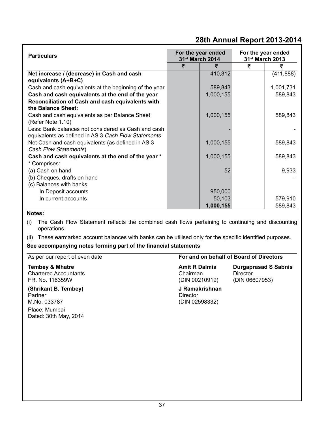| <b>Particulars</b>                                                | For the year ended<br>31 <sup>st</sup> March 2014 |           | For the year ended<br>31 <sup>st</sup> March 2013 |            |
|-------------------------------------------------------------------|---------------------------------------------------|-----------|---------------------------------------------------|------------|
|                                                                   | ₹                                                 | ₹         | ₹                                                 | ₹          |
| Net increase / (decrease) in Cash and cash<br>equivalents (A+B+C) |                                                   | 410,312   |                                                   | (411, 888) |
| Cash and cash equivalents at the beginning of the year            |                                                   | 589,843   |                                                   | 1,001,731  |
| Cash and cash equivalents at the end of the year                  |                                                   | 1,000,155 |                                                   | 589,843    |
| Reconciliation of Cash and cash equivalents with                  |                                                   |           |                                                   |            |
| the Balance Sheet:                                                |                                                   |           |                                                   |            |
| Cash and cash equivalents as per Balance Sheet                    |                                                   | 1,000,155 |                                                   | 589,843    |
| (Refer Note 1.10)                                                 |                                                   |           |                                                   |            |
| Less: Bank balances not considered as Cash and cash               |                                                   |           |                                                   |            |
| equivalents as defined in AS 3 Cash Flow Statements               |                                                   |           |                                                   |            |
| Net Cash and cash equivalents (as defined in AS 3                 |                                                   | 1,000,155 |                                                   | 589,843    |
| Cash Flow Statements)                                             |                                                   |           |                                                   |            |
| Cash and cash equivalents at the end of the year *                |                                                   | 1,000,155 |                                                   | 589,843    |
| * Comprises:                                                      |                                                   |           |                                                   |            |
| (a) Cash on hand                                                  |                                                   | 52        |                                                   | 9,933      |
| (b) Cheques, drafts on hand                                       |                                                   |           |                                                   |            |
| (c) Balances with banks                                           |                                                   |           |                                                   |            |
| In Deposit accounts                                               |                                                   | 950,000   |                                                   |            |
| In current accounts                                               |                                                   | 50,103    |                                                   | 579,910    |
|                                                                   |                                                   | 1,000,155 |                                                   | 589,843    |

#### **Notes:**

- (i) The Cash Flow Statement reflects the combined cash flows pertaining to continuing and discounting operations.
- (ii) These earmarked account balances with banks can be utilised only for the specific identified purposes.

#### **See accompanying notes forming part of the financial statements**

| As per our report of even date                                                            | For and on behalf of Board of Directors            |                                                           |  |
|-------------------------------------------------------------------------------------------|----------------------------------------------------|-----------------------------------------------------------|--|
| <b>Tembey &amp; Mhatre</b><br><b>Chartered Accountants</b><br>FR. No. 116359W             | <b>Amit R Dalmia</b><br>Chairman<br>(DIN 00210919) | <b>Durgaprasad S Sabnis</b><br>Director<br>(DIN 06607953) |  |
| (Shrikant B. Tembey)<br>Partner<br>M.No. 033787<br>Place: Mumbai<br>Dated: 30th May, 2014 | J Ramakrishnan<br>Director<br>(DIN 02598332)       |                                                           |  |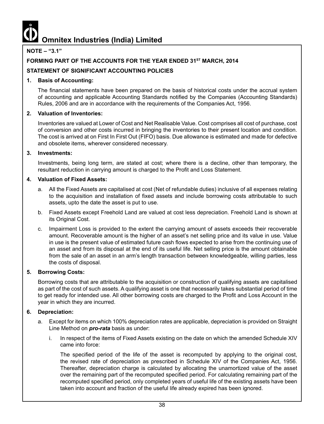#### **NOTE – "3.1"**

#### **FORMING PART OF THE ACCOUNTS FOR THE YEAR ENDED 31ST MARCH, 2014**

#### **STATEMENT OF SIGNIFICANT ACCOUNTING POLICIES**

#### **1. Basis of Accounting:**

The financial statements have been prepared on the basis of historical costs under the accrual system of accounting and applicable Accounting Standards notified by the Companies (Accounting Standards) Rules, 2006 and are in accordance with the requirements of the Companies Act, 1956.

#### **2. Valuation of Inventories:**

Inventories are valued at Lower of Cost and Net Realisable Value. Cost comprises all cost of purchase, cost of conversion and other costs incurred in bringing the inventories to their present location and condition. The cost is arrived at on First In First Out (FIFO) basis. Due allowance is estimated and made for defective and obsolete items, wherever considered necessary.

#### **3. Investments:**

Investments, being long term, are stated at cost; where there is a decline, other than temporary, the resultant reduction in carrying amount is charged to the Profit and Loss Statement.

#### **4. Valuation of Fixed Assets:**

- a. All the Fixed Assets are capitalised at cost (Net of refundable duties) inclusive of all expenses relating to the acquisition and installation of fixed assets and include borrowing costs attributable to such assets, upto the date the asset is put to use.
- b. Fixed Assets except Freehold Land are valued at cost less depreciation. Freehold Land is shown at its Original Cost.
- c. Impairment Loss is provided to the extent the carrying amount of assets exceeds their recoverable amount. Recoverable amount is the higher of an asset's net selling price and its value in use. Value in use is the present value of estimated future cash flows expected to arise from the continuing use of an asset and from its disposal at the end of its useful life. Net selling price is the amount obtainable from the sale of an asset in an arm's length transaction between knowledgeable, willing parties, less the costs of disposal.

#### **5. Borrowing Costs:**

Borrowing costs that are attributable to the acquisition or construction of qualifying assets are capitalised as part of the cost of such assets. A qualifying asset is one that necessarily takes substantial period of time to get ready for intended use. All other borrowing costs are charged to the Profit and Loss Account in the year in which they are incurred.

#### **6. Depreciation:**

- a. Except for items on which 100% depreciation rates are applicable, depreciation is provided on Straight Line Method on *pro-rata* basis as under:
	- i. In respect of the items of Fixed Assets existing on the date on which the amended Schedule XIV came into force:

The specified period of the life of the asset is recomputed by applying to the original cost, the revised rate of depreciation as prescribed in Schedule XIV of the Companies Act, 1956. Thereafter, depreciation charge is calculated by allocating the unamortized value of the asset over the remaining part of the recomputed specified period. For calculating remaining part of the recomputed specified period, only completed years of useful life of the existing assets have been taken into account and fraction of the useful life already expired has been ignored.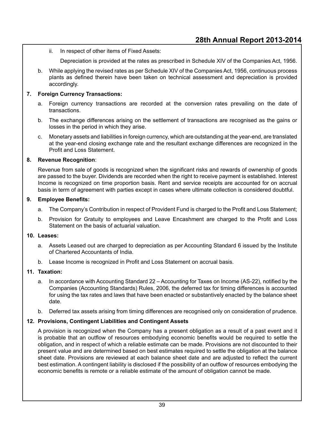- ii. In respect of other items of Fixed Assets:
	- Depreciation is provided at the rates as prescribed in Schedule XIV of the Companies Act, 1956.
- b. While applying the revised rates as per Schedule XIV of the Companies Act, 1956, continuous process plants as defined therein have been taken on technical assessment and depreciation is provided accordingly.

#### **7. Foreign Currency Transactions:**

- a. Foreign currency transactions are recorded at the conversion rates prevailing on the date of transactions.
- b. The exchange differences arising on the settlement of transactions are recognised as the gains or losses in the period in which they arise.
- c. Monetary assets and liabilities in foreign currency, which are outstanding at the year-end, are translated at the year-end closing exchange rate and the resultant exchange differences are recognized in the Profit and Loss Statement.

#### **8. Revenue Recognition**:

Revenue from sale of goods is recognized when the significant risks and rewards of ownership of goods are passed to the buyer. Dividends are recorded when the right to receive payment is established. Interest Income is recognized on time proportion basis. Rent and service receipts are accounted for on accrual basis in term of agreement with parties except in cases where ultimate collection is considered doubtful.

#### **9. Employee Benefits:**

- a. The Company's Contribution in respect of Provident Fund is charged to the Profit and Loss Statement;
- b. Provision for Gratuity to employees and Leave Encashment are charged to the Profit and Loss Statement on the basis of actuarial valuation.

#### **10. Leases:**

- a. Assets Leased out are charged to depreciation as per Accounting Standard 6 issued by the Institute of Chartered Accountants of India.
- b. Lease Income is recognized in Profit and Loss Statement on accrual basis.

#### **11. Taxation:**

- a. In accordance with Accounting Standard 22 Accounting for Taxes on Income (AS-22), notified by the Companies (Accounting Standards) Rules, 2006, the deferred tax for timing differences is accounted for using the tax rates and laws that have been enacted or substantively enacted by the balance sheet date.
- b. Deferred tax assets arising from timing differences are recognised only on consideration of prudence.

#### **12. Provisions, Contingent Liabilities and Contingent Assets**

A provision is recognized when the Company has a present obligation as a result of a past event and it is probable that an outflow of resources embodying economic benefits would be required to settle the obligation, and in respect of which a reliable estimate can be made. Provisions are not discounted to their present value and are determined based on best estimates required to settle the obligation at the balance sheet date. Provisions are reviewed at each balance sheet date and are adjusted to reflect the current best estimation. A contingent liability is disclosed if the possibility of an outflow of resources embodying the economic benefits is remote or a reliable estimate of the amount of obligation cannot be made.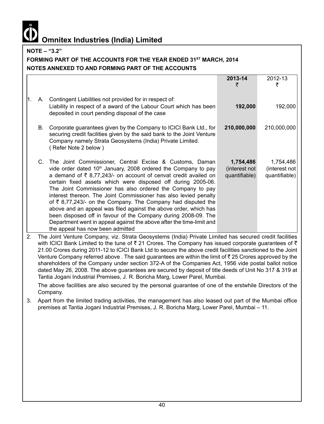**NOTE – "3.2"**

#### FORMING PART OF THE ACCOUNTS FOR THE YEAR ENDED 31<sup>ST</sup> MARCH, 2014 **NOTES ANNEXED TO AND FORMING PART OF THE ACCOUNTS**

|     |    |                                                                                                             | 2013-14       | 2012-13       |
|-----|----|-------------------------------------------------------------------------------------------------------------|---------------|---------------|
|     |    |                                                                                                             | ₹             | ₹             |
|     |    |                                                                                                             |               |               |
| l1. | A. | Contingent Liabilities not provided for in respect of:                                                      |               |               |
|     |    | Liability in respect of a award of the Labour Court which has been                                          | 192,000       | 192,000       |
|     |    |                                                                                                             |               |               |
|     |    | deposited in court pending disposal of the case                                                             |               |               |
|     | В. | Corporate guarantees given by the Company to ICICI Bank Ltd., for                                           | 210,000,000   | 210,000,000   |
|     |    | securing credit facilities given by the said bank to the Joint Venture                                      |               |               |
|     |    | Company namely Strata Geosystems (India) Private Limited.                                                   |               |               |
|     |    |                                                                                                             |               |               |
|     |    | (Refer Note 2 below)                                                                                        |               |               |
|     |    | C. The Joint Commissioner, Central Excise & Customs, Daman                                                  | 1,754,486     | 1,754,486     |
|     |    |                                                                                                             | (interest not |               |
|     |    | vide order dated 10 <sup>th</sup> January, 2008 ordered the Company to pay                                  |               | (interest not |
|     |    | a demand of $\bar{\tau}$ 8,77,243/- on account of cenvat credit availed on                                  | quantifiable) | quantifiable) |
|     |    | certain fixed assets which were disposed off during 2005-06.                                                |               |               |
|     |    | The Joint Commissioner has also ordered the Company to pay                                                  |               |               |
|     |    | interest thereon. The Joint Commissioner has also levied penalty                                            |               |               |
|     |    | of $\bar{\tau}$ 8,77,243/- on the Company. The Company had disputed the                                     |               |               |
|     |    | above and an appeal was filed against the above order, which has                                            |               |               |
|     |    | been disposed off in favour of the Company during 2008-09. The                                              |               |               |
|     |    | Department went in appeal against the above after the time-limit and                                        |               |               |
|     |    | the appeal has now been admitted                                                                            |               |               |
| 2.  |    | The Joint Venture Company, viz. Strata Geosystems (India) Private Limited has secured credit facilities     |               |               |
|     |    | with ICICI Bank Limited to the tune of ₹ 21 Crores. The Company has issued corporate guarantees of ₹        |               |               |
|     |    | 21.00 Crores during 2011-12 to ICICI Bank Ltd to secure the above credit facilities sanctioned to the Joint |               |               |
|     |    |                                                                                                             |               |               |

Venture Company referred above . The said quarantees are within the limit of  $\bar{\tau}$  25 Crores approved by the shareholders of the Company under section 372-A of the Companies Act, 1956 vide postal ballot notice dated May 26, 2008. The above guarantees are secured by deposit of title deeds of Unit No 317 & 319 at Tantia Jogani Industrial Premises, J. R. Boricha Marg, Lower Parel, Mumbai.

The above facilities are also secured by the personal guarantee of one of the erstwhile Directors of the Company.

3. Apart from the limited trading activities, the management has also leased out part of the Mumbai office premises at Tantia Jogani Industrial Premises, J. R. Boricha Marg, Lower Parel, Mumbai – 11.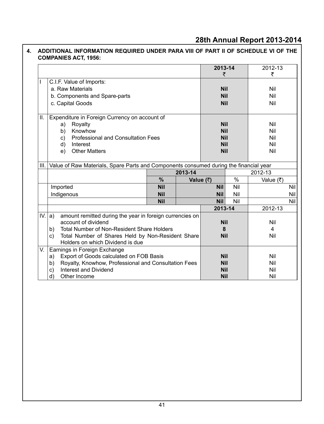|      |                                                                                                    |            |           | 2013-14<br>₹ |     | 2012-13<br>₹ |            |
|------|----------------------------------------------------------------------------------------------------|------------|-----------|--------------|-----|--------------|------------|
|      | C.I.F. Value of Imports:                                                                           |            |           |              |     |              |            |
|      | a. Raw Materials                                                                                   |            |           | <b>Nil</b>   |     | Nil          |            |
|      | b. Components and Spare-parts                                                                      |            |           | <b>Nil</b>   |     | Nil          |            |
|      | c. Capital Goods                                                                                   |            |           | <b>Nil</b>   |     | Nil          |            |
| Ш.   | Expenditure in Foreign Currency on account of                                                      |            |           |              |     |              |            |
|      | Royalty<br>a)                                                                                      |            |           | <b>Nil</b>   |     | Nil          |            |
|      | Knowhow<br>b)                                                                                      |            |           | <b>Nil</b>   |     | Nil          |            |
|      | <b>Professional and Consultation Fees</b><br>C)                                                    |            |           | <b>Nil</b>   |     | Nil          |            |
|      | Interest<br>d)                                                                                     |            |           | <b>Nil</b>   |     | Nil          |            |
|      | <b>Other Matters</b><br>e)                                                                         |            |           | <b>Nil</b>   |     | Nil          |            |
| III. | Value of Raw Materials, Spare Parts and Components consumed during the financial year              |            |           |              |     |              |            |
|      |                                                                                                    |            | 2013-14   |              |     | 2012-13      |            |
|      |                                                                                                    | $\%$       | Value (₹) |              | %   | Value (₹)    |            |
|      | Imported                                                                                           | <b>Nil</b> |           | <b>Nil</b>   | Nil |              | <b>Nil</b> |
|      | Indigenous                                                                                         | <b>Nil</b> |           | <b>Nil</b>   | Nil |              | Nil        |
|      |                                                                                                    | <b>Nil</b> |           | <b>Nil</b>   | Nil |              | Nil        |
|      |                                                                                                    |            |           | 2013-14      |     | 2012-13      |            |
|      | IV. $ a\rangle$<br>amount remitted during the year in foreign currencies on<br>account of dividend |            |           | <b>Nil</b>   |     | Nil          |            |
|      | Total Number of Non-Resident Share Holders<br>b)                                                   |            |           | 8            |     | 4            |            |
|      | Total Number of Shares Held by Non-Resident Share<br>C)                                            |            |           | <b>Nil</b>   |     | Nil          |            |
|      | Holders on which Dividend is due                                                                   |            |           |              |     |              |            |
| V.   | Earnings in Foreign Exchange                                                                       |            |           |              |     |              |            |
|      | Export of Goods calculated on FOB Basis<br>a)                                                      |            |           | <b>Nil</b>   |     | Nil          |            |
|      | Royalty, Knowhow, Professional and Consultation Fees<br>b)                                         |            |           | <b>Nil</b>   |     | Nil          |            |
|      | Interest and Dividend<br>C)                                                                        |            |           | <b>Nil</b>   |     | Nil          |            |
|      | d)<br>Other Income                                                                                 |            |           | <b>Nil</b>   |     | Nil          |            |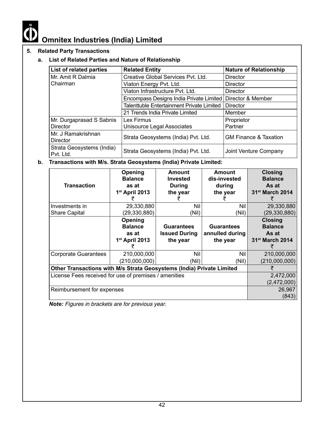

#### **5. Related Party Transactions**

#### **a. List of Related Parties and Nature of Relationship**

| List of related parties                | <b>Related Entity</b>                     | <b>Nature of Relationship</b>    |
|----------------------------------------|-------------------------------------------|----------------------------------|
| Mr. Amit R Dalmia                      | Creative Global Services Pvt. Ltd.        | <b>Director</b>                  |
| Chairman                               | Viaton Energy Pvt. Ltd.                   | Director                         |
|                                        | Viaton Infrastructure Pyt. Ltd.           | Director                         |
|                                        | Encompass Designs India Private Limited   | Director & Member                |
|                                        | Talenttuble Entertainment Private Limited | Director                         |
|                                        | 21 Trends India Private Limited           | Member                           |
| Mr. Durgaprasad S Sabnis               | Lex Firmus                                | Proprietor                       |
| <b>Director</b>                        | Unisource Legal Associates                | Partner                          |
| Mr. J Ramakrishnan<br><b>Director</b>  | Strata Geosystems (India) Pvt. Ltd.       | <b>GM Finance &amp; Taxation</b> |
| Strata Geosystems (India)<br>Pvt. Ltd. | Strata Geosystems (India) Pvt. Ltd.       | Joint Venture Company            |

#### **b. Transactions with M/s. Strata Geosystems (India) Private Limited:**

| <b>Transaction</b>                                                    | Opening<br><b>Balance</b><br>as at<br>1 <sup>st</sup> April 2013 | <b>Amount</b><br><b>Invested</b><br><b>During</b><br>the year | Amount<br>dis-invested<br>during<br>the year     | <b>Closing</b><br><b>Balance</b><br>As at<br>31 <sup>st</sup> March 2014 |
|-----------------------------------------------------------------------|------------------------------------------------------------------|---------------------------------------------------------------|--------------------------------------------------|--------------------------------------------------------------------------|
| Investments in                                                        | 29,330,880                                                       | Nil<br>Nil                                                    |                                                  | 29,330,880                                                               |
| Share Capital                                                         | (29,330,880)                                                     | (Nil)<br>(Nil)                                                |                                                  | (29, 330, 880)                                                           |
|                                                                       | Opening<br><b>Balance</b><br>as at<br>$1st$ April 2013           | <b>Guarantees</b><br><b>Issued During</b><br>the year         | <b>Guarantees</b><br>annulled during<br>the year | <b>Closing</b><br><b>Balance</b><br>As at<br>31 <sup>st</sup> March 2014 |
| <b>Corporate Guarantees</b>                                           | 210,000,000<br>(210,000,000)                                     | Nil<br>(Nil)                                                  | Nil<br>(Nil)                                     | 210,000,000<br>(210,000,000)                                             |
| Other Transactions with M/s Strata Geosystems (India) Private Limited |                                                                  |                                                               |                                                  |                                                                          |
| License Fees received for use of premises / amenities                 | 2,472,000<br>(2,472,000)                                         |                                                               |                                                  |                                                                          |
| Reimbursement for expenses                                            |                                                                  |                                                               |                                                  | 26,967<br>(843)                                                          |

*Note: Figures in brackets are for previous year.*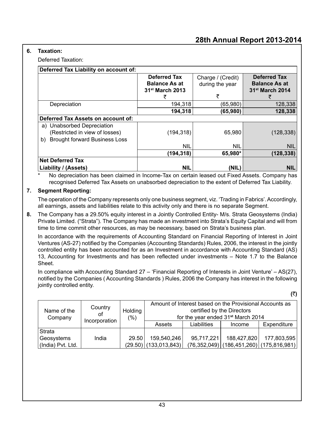#### **6. Taxation:**

Deferred Taxation:

| Deferred Tax Liability on account of:      |                             |                   |                             |  |
|--------------------------------------------|-----------------------------|-------------------|-----------------------------|--|
|                                            | <b>Deferred Tax</b>         | Charge / (Credit) | <b>Deferred Tax</b>         |  |
|                                            | <b>Balance As at</b>        | during the year   | <b>Balance As at</b>        |  |
|                                            | 31 <sup>st</sup> March 2013 |                   | 31 <sup>st</sup> March 2014 |  |
|                                            | ₹                           | ₹                 | ₹                           |  |
| Depreciation                               | 194.318                     | (65,980)          | 128,338                     |  |
|                                            | 194,318                     | (65,980)          | 128,338                     |  |
| Deferred Tax Assets on account of:         |                             |                   |                             |  |
| Unabsorbed Depreciation<br>a)              |                             |                   |                             |  |
| (Restricted in view of losses)             | (194, 318)                  | 65,980            | (128, 338)                  |  |
| <b>Brought forward Business Loss</b><br>b) |                             |                   |                             |  |
|                                            | <b>NIL</b>                  | <b>NIL</b>        | <b>NIL</b>                  |  |
|                                            | (194, 318)                  | 65,980*           | (128, 338)                  |  |
| <b>Net Deferred Tax</b>                    |                             |                   |                             |  |
| Liability / (Assets)                       | <b>NIL</b>                  | (NIL)             | <b>NIL</b>                  |  |

No depreciation has been claimed in Income-Tax on certain leased out Fixed Assets. Company has recognised Deferred Tax Assets on unabsorbed depreciation to the extent of Deferred Tax Liability.

#### **7. Segment Reporting:**

The operation of the Company represents only one business segment, viz. 'Trading in Fabrics'. Accordingly, all earnings, assets and liabilities relate to this activity only and there is no separate Segment.

**8.** The Company has a 29.50% equity interest in a Jointly Controlled Entity- M/s. Strata Geosystems (India) Private Limited. ("Strata"). The Company has made an investment into Strata's Equity Capital and will from time to time commit other resources, as may be necessary, based on Strata's business plan.

In accordance with the requirements of Accounting Standard on Financial Reporting of Interest in Joint Ventures (AS-27) notified by the Companies (Accounting Standards) Rules, 2006, the interest in the jointly controlled entity has been accounted for as an Investment in accordance with Accounting Standard (AS) 13, Accounting for Investments and has been reflected under investments – Note 1.7 to the Balance Sheet.

In compliance with Accounting Standard 27 – 'Financial Reporting of Interests in Joint Venture' – AS(27), notified by the Companies ( Accounting Standards ) Rules, 2006 the Company has interest in the following jointly controlled entity.

**(**`**)**

| Name of the<br>Company | Country<br>οf<br>Incorporation | Holding<br>(%) |                         | certified by the Directors | Amount of Interest based on the Provisional Accounts as<br>for the year ended 31 <sup>st</sup> March 2014 |             |
|------------------------|--------------------------------|----------------|-------------------------|----------------------------|-----------------------------------------------------------------------------------------------------------|-------------|
|                        |                                |                | Assets                  | Liabilities                | Income                                                                                                    | Expenditure |
| l Strata<br>Geosystems | India                          | 29.50          | 159,540,246             | 95,717,221                 | 188,427,820                                                                                               | 177,803,595 |
| (India) Pvt. Ltd.      |                                |                | $(29.50)$ (133,013,843) |                            | $(76,352,049)$ (186,451,260) (175,816,981)                                                                |             |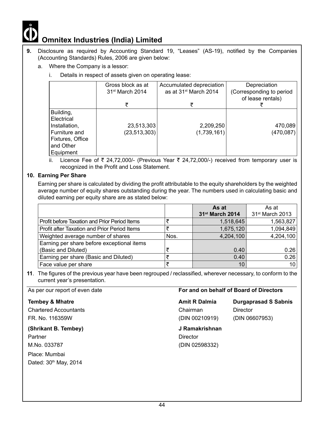- **9.** Disclosure as required by Accounting Standard 19, "Leases" (AS-19), notified by the Companies (Accounting Standards) Rules, 2006 are given below:
	- a. Where the Company is a lessor:
		- i. Details in respect of assets given on operating lease:

|                                                                                                           | Gross block as at<br>31 <sup>st</sup> March 2014 | Accumulated depreciation<br>as at 31 <sup>st</sup> March 2014 | Depreciation<br>(Corresponding to period<br>of lease rentals) |
|-----------------------------------------------------------------------------------------------------------|--------------------------------------------------|---------------------------------------------------------------|---------------------------------------------------------------|
|                                                                                                           |                                                  |                                                               |                                                               |
| Building,<br>l Electrical<br>Installation,<br>Furniture and<br>Fixtures, Office<br>and Other<br>Equipment | 23,513,303<br>(23, 513, 303)                     | 2,209,250<br>(1,739,161)                                      | 470,089<br>(470,087)                                          |

ii. Licence Fee of ₹ 24,72,000/- (Previous Year ₹ 24,72,000/-) received from temporary user is recognized in the Profit and Loss Statement.

#### **10. Earning Per Share**

Earning per share is calculated by dividing the profit attributable to the equity shareholders by the weighted average number of equity shares outstanding during the year. The numbers used in calculating basic and diluted earning per equity share are as stated below:

|                                               |      | As at                       | As at                       |
|-----------------------------------------------|------|-----------------------------|-----------------------------|
|                                               |      | 31 <sup>st</sup> March 2014 | 31 <sup>st</sup> March 2013 |
| Profit before Taxation and Prior Period Items |      | 1,518,645                   | 1,563,827                   |
| Profit after Taxation and Prior Period Items  |      | 1,675,120                   | 1,094,849                   |
| Weighted average number of shares             | Nos. | 4,204,100                   | 4,204,100                   |
| Earning per share before exceptional items    |      |                             |                             |
| (Basic and Diluted)                           |      | 0.40                        | 0.26                        |
| Earning per share (Basic and Diluted)         |      | 0.40                        | 0.26                        |
| Face value per share                          |      | 10                          | 10                          |

**11**. The figures of the previous year have been regrouped / reclassified, wherever necessary, to conform to the current year's presentation.

Chartered Accountants Chairman Director FR. No. 116359W (DIN 00210919) (DIN 06607953)

#### **(Shrikant B. Tembey) J Ramakrishnan**

Partner **Director Director** M.No. 033787 (DIN 02598332) Place: Mumbai Dated: 30<sup>th</sup> May, 2014

#### As per our report of even date **For and on behalf of Board of Directors**

**Tembey & Mhatre Amit R Dalmia Durgaprasad S Sabnis**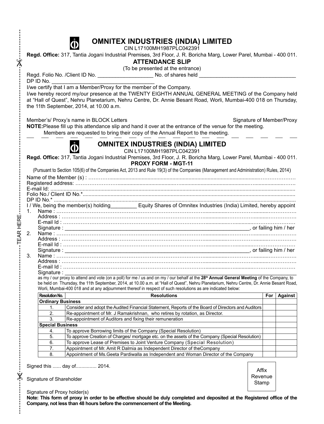

CIN L17100MH1987PLC042391

**Regd. Office:** 317, Tantia Jogani Industrial Premises, 3rd Floor, J. R. Boricha Marg, Lower Parel, Mumbai - 400 011.

#### **Attendance slip**

(To be presented at the entrance)

Regd. Folio No. /Client ID No. \_\_\_\_\_\_\_\_\_\_\_\_\_\_\_\_\_\_\_ No. of shares held \_\_\_\_\_\_\_\_\_\_\_\_\_\_\_\_\_\_\_\_\_\_\_\_\_\_\_\_\_\_\_\_\_  $DP$  ID No.

 $\times$ 

I/we certify that I am a Member/Proxy for the member of the Company.

I/we hereby record my/our presence at the TWENTY EIGHTH ANNUAL GENERAL MEETING of the Company held at "Hall of Quest", Nehru Planetarium, Nehru Centre, Dr. Annie Besant Road, Worli, Mumbai-400 018 on Thursday, the 11th September, 2014, at 10.00 a.m.

Member's/ Proxy's name in BLOCK Letters Signature of Member/Proxy

**NOTE:**Please fill up this attendance slip and hand it over at the entrance of the venue for the meeting. Members are requested to bring their copy of the Annual Report to the meeting.



**Omnitex Industries (India) Limited** CIN L17100MH1987PLC042391

**Regd. Office:** 317, Tantia Jogani Industrial Premises, 3rd Floor, J. R. Boricha Marg, Lower Parel, Mumbai - 400 011.

**PROXY FORM - MGT-11**

(Pursuant to Section 105(6) of the Companies Act, 2013 and Rule 19(3) of the Companies (Management and Administration) Rules, 2014)

Name of the Member (s) : …………......................................................................................................………………… Registered address: …………………….......................................…...............................................…....................……. E-mail Id: ....................................................................................................................................................................... Folio No./ Client ID No.\*................................................................................................................................................. DP ID No.\* ..................................................................................................................................................................... I / We, being the member(s) holding\_\_\_\_\_\_\_\_\_ Equity Shares of Omnitex Industries (India) Limited, hereby appoint 1. Name : …………………………………………………………………………................……………..........……………. Address : ………………………………………………………………………................……………..........……………. E-mail Id : ………………………………………………………………………................….............…………………… Signature : \_\_\_\_\_\_\_\_\_\_\_\_\_\_\_\_\_\_\_\_\_\_\_\_\_\_\_\_\_\_\_\_\_\_\_\_\_\_\_\_\_\_\_\_\_\_\_\_\_\_\_\_\_\_\_\_\_\_\_\_\_\_\_, or failing him / her 2. Name : …………………………………………………………………………................……………..........……………. Address : ………………………………………………………………………................……………..........……………. E-mail Id : ………………………………………………………………………................….............…………………… Signature : \_\_\_\_\_\_\_\_\_\_\_\_\_\_\_\_\_\_\_\_\_\_\_\_\_\_\_\_\_\_\_\_\_\_\_\_\_\_\_\_\_\_\_\_\_\_\_\_\_\_\_\_\_\_\_\_\_\_\_\_\_\_\_, or failing him / her 3. Name : …………………………………………………………………………................……………..........……………. Address : ………………………………………………………………………................……………..........……………. E-mail Id : ………………………………………………………………………................….............…………………… Signature : \_\_\_\_\_\_\_\_\_\_\_\_\_\_\_\_\_\_\_\_\_\_\_\_\_\_\_\_\_\_\_\_\_\_\_\_\_\_\_\_\_\_\_\_\_\_\_\_\_\_\_\_\_\_\_\_\_\_\_\_\_\_\_\_\_\_\_\_\_\_\_\_\_\_\_\_\_\_\_

as my / our proxy to attend and vote (on a poll) for me / us and on my / our behalf at the **28th Annual General Meeting** of the Company, to be held on Thursday, the 11th September, 2014, at 10.00 a.m. at "Hall of Quest", Nehru Planetarium, Nehru Centre, Dr. Annie Besant Road, Worli, Mumbai-400 018 and at any adjournment thereof in respect of such resolutions as are indicated below:

| Resolution No.           | <b>Resolutions</b>                                                                                 |  | Against |
|--------------------------|----------------------------------------------------------------------------------------------------|--|---------|
| <b>Ordinary Business</b> |                                                                                                    |  |         |
|                          | Consider and adopt the Audited Financial Statement, Reports of the Board of Directors and Auditors |  |         |
| 2.                       | Re-appointment of Mr. J Ramakrishnan, who retires by rotation, as Director.                        |  |         |
| 3.                       | Re-appointment of Auditors and fixing their remuneration                                           |  |         |
| <b>Special Business</b>  |                                                                                                    |  |         |
| 4.                       | To approve Borrowing limits of the Company (Special Resolution)                                    |  |         |
| 5.                       | To approve Creation of Charges/ mortgage etc. on the assets of the Company (Special Resolution)    |  |         |
| 6.                       | To approve Lease of Premises to Joint Venture Company (Special Resolution)                         |  |         |
|                          | Appointment of Mr. Amit R Dalmia as Independent Director of the Company                            |  |         |
| 8.                       | Appointment of Ms. Geeta Pardiwalla as Independent and Woman Director of the Company               |  |         |

Signed this ...... day of............... 2014.

Signature of Shareholder

 $\pmb{\times}$ 

TEAR HERE

**TEAR HERE** 

Affix **Revenue Stamp** 

Signature of Proxy holder(s)

**Note: This form of proxy in order to be effective should be duly completed and deposited at the Registered office of the Company, not less than 48 hours before the commencement of the Meeting.**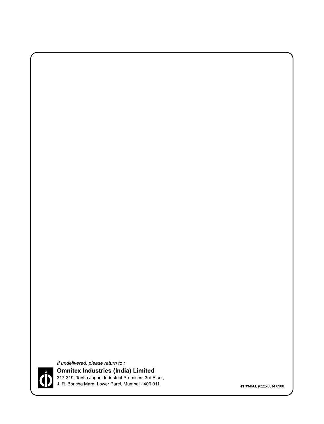

If undelivered, please return to: **Omnitex Industries (India) Limited** 317-319, Tantia Jogani Industrial Premises, 3rd Floor, J. R. Boricha Marg, Lower Parel, Mumbai - 400 011.

**CRYSTAL (022)-6614 0900**